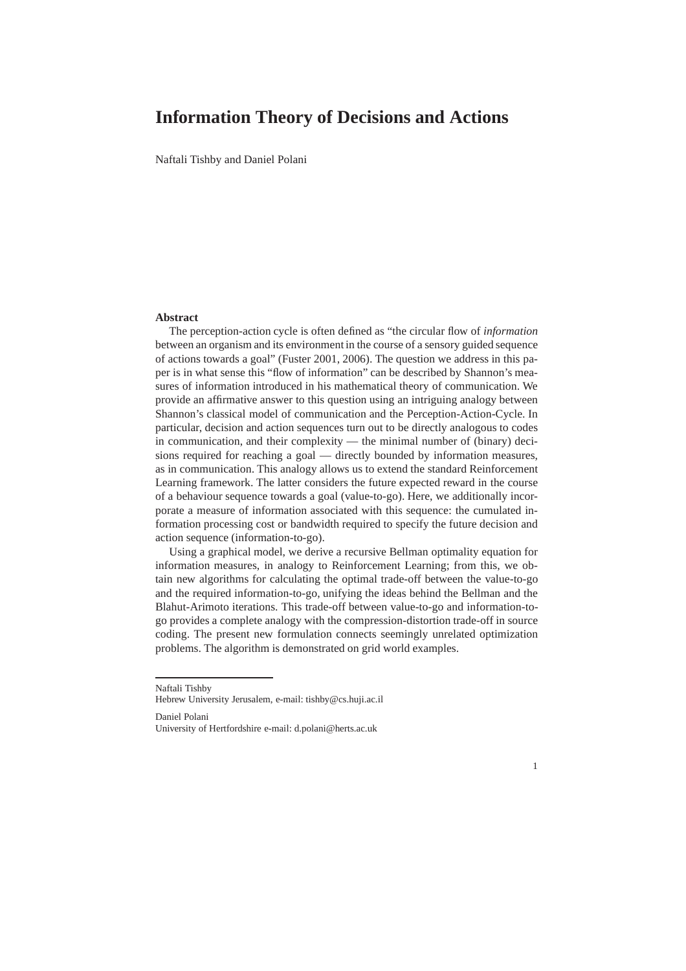Naftali Tishby and Daniel Polani

## **Abstract**

The perception-action cycle is often defined as "the circular flow of *information* between an organism and its environment in the course of a sensory guided sequence of actions towards a goal" (Fuster 2001, 2006). The question we address in this paper is in what sense this "flow of information" can be described by Shannon's measures of information introduced in his mathematical theory of communication. We provide an affirmative answer to this question using an intriguing analogy between Shannon's classical model of communication and the Perception-Action-Cycle. In particular, decision and action sequences turn out to be directly analogous to codes in communication, and their complexity — the minimal number of (binary) decisions required for reaching a goal — directly bounded by information measures, as in communication. This analogy allows us to extend the standard Reinforcement Learning framework. The latter considers the future expected reward in the course of a behaviour sequence towards a goal (value-to-go). Here, we additionally incorporate a measure of information associated with this sequence: the cumulated information processing cost or bandwidth required to specify the future decision and action sequence (information-to-go).

Using a graphical model, we derive a recursive Bellman optimality equation for information measures, in analogy to Reinforcement Learning; from this, we obtain new algorithms for calculating the optimal trade-off between the value-to-go and the required information-to-go, unifying the ideas behind the Bellman and the Blahut-Arimoto iterations. This trade-off between value-to-go and information-togo provides a complete analogy with the compression-distortion trade-off in source coding. The present new formulation connects seemingly unrelated optimization problems. The algorithm is demonstrated on grid world examples.

Naftali Tishby Hebrew University Jerusalem, e-mail: tishby@cs.huji.ac.il

Daniel Polani University of Hertfordshire e-mail: d.polani@herts.ac.uk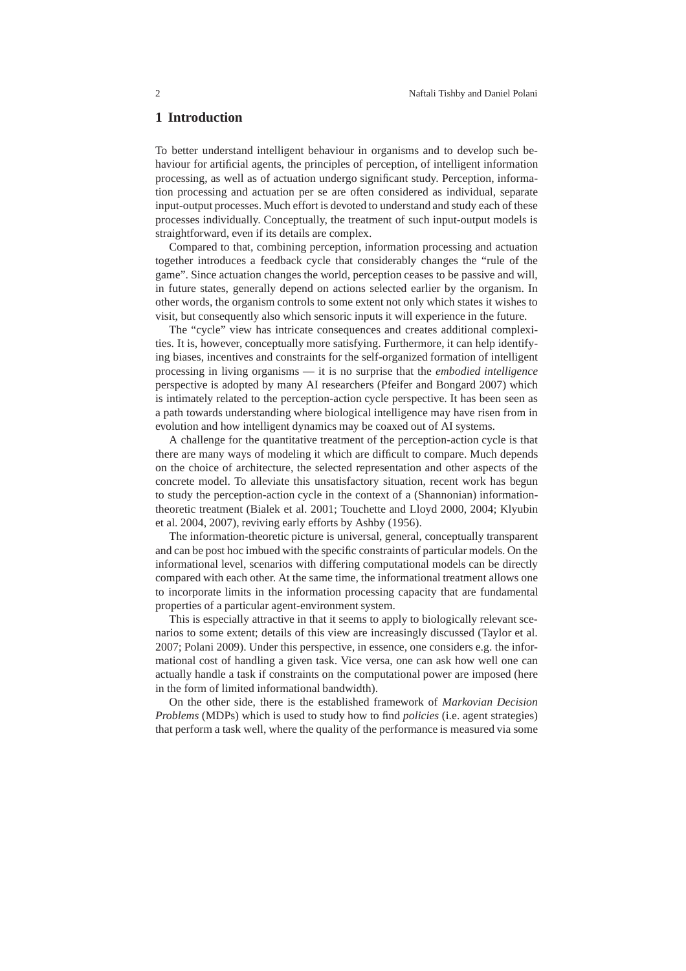## **1 Introduction**

To better understand intelligent behaviour in organisms and to develop such behaviour for artificial agents, the principles of perception, of intelligent information processing, as well as of actuation undergo significant study. Perception, information processing and actuation per se are often considered as individual, separate input-output processes. Much effort is devoted to understand and study each of these processes individually. Conceptually, the treatment of such input-output models is straightforward, even if its details are complex.

Compared to that, combining perception, information processing and actuation together introduces a feedback cycle that considerably changes the "rule of the game". Since actuation changes the world, perception ceases to be passive and will, in future states, generally depend on actions selected earlier by the organism. In other words, the organism controls to some extent not only which states it wishes to visit, but consequently also which sensoric inputs it will experience in the future.

The "cycle" view has intricate consequences and creates additional complexities. It is, however, conceptually more satisfying. Furthermore, it can help identifying biases, incentives and constraints for the self-organized formation of intelligent processing in living organisms — it is no surprise that the *embodied intelligence* perspective is adopted by many AI researchers (Pfeifer and Bongard 2007) which is intimately related to the perception-action cycle perspective. It has been seen as a path towards understanding where biological intelligence may have risen from in evolution and how intelligent dynamics may be coaxed out of AI systems.

A challenge for the quantitative treatment of the perception-action cycle is that there are many ways of modeling it which are difficult to compare. Much depends on the choice of architecture, the selected representation and other aspects of the concrete model. To alleviate this unsatisfactory situation, recent work has begun to study the perception-action cycle in the context of a (Shannonian) informationtheoretic treatment (Bialek et al. 2001; Touchette and Lloyd 2000, 2004; Klyubin et al. 2004, 2007), reviving early efforts by Ashby (1956).

The information-theoretic picture is universal, general, conceptually transparent and can be post hoc imbued with the specific constraints of particular models. On the informational level, scenarios with differing computational models can be directly compared with each other. At the same time, the informational treatment allows one to incorporate limits in the information processing capacity that are fundamental properties of a particular agent-environment system.

This is especially attractive in that it seems to apply to biologically relevant scenarios to some extent; details of this view are increasingly discussed (Taylor et al. 2007; Polani 2009). Under this perspective, in essence, one considers e.g. the informational cost of handling a given task. Vice versa, one can ask how well one can actually handle a task if constraints on the computational power are imposed (here in the form of limited informational bandwidth).

On the other side, there is the established framework of *Markovian Decision Problems* (MDPs) which is used to study how to find *policies* (i.e. agent strategies) that perform a task well, where the quality of the performance is measured via some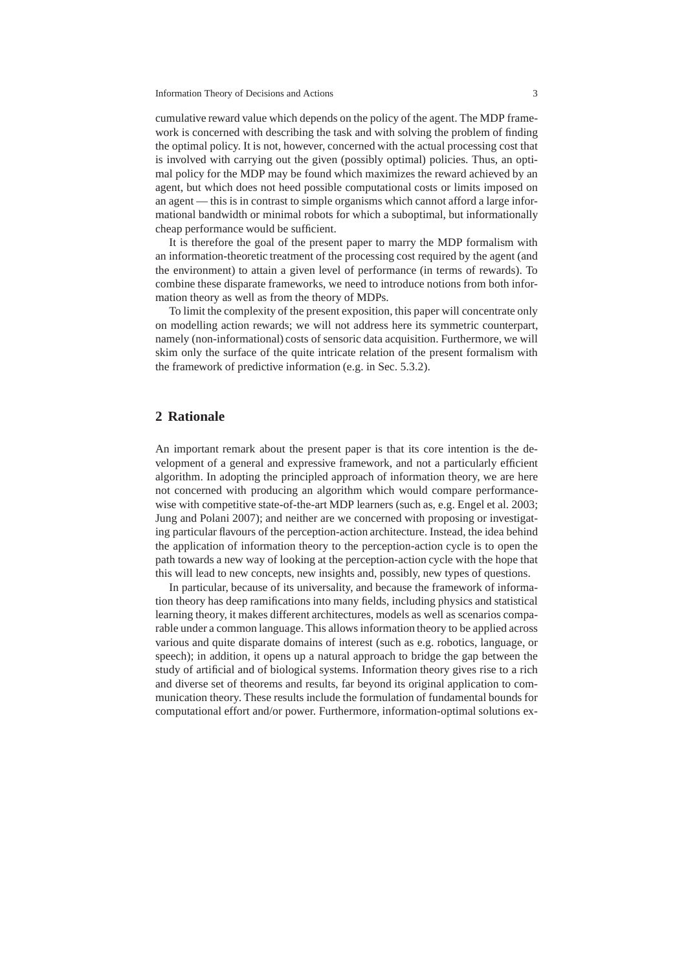cumulative reward value which depends on the policy of the agent. The MDP framework is concerned with describing the task and with solving the problem of finding the optimal policy. It is not, however, concerned with the actual processing cost that is involved with carrying out the given (possibly optimal) policies. Thus, an optimal policy for the MDP may be found which maximizes the reward achieved by an agent, but which does not heed possible computational costs or limits imposed on an agent — this is in contrast to simple organisms which cannot afford a large informational bandwidth or minimal robots for which a suboptimal, but informationally cheap performance would be sufficient.

It is therefore the goal of the present paper to marry the MDP formalism with an information-theoretic treatment of the processing cost required by the agent (and the environment) to attain a given level of performance (in terms of rewards). To combine these disparate frameworks, we need to introduce notions from both information theory as well as from the theory of MDPs.

To limit the complexity of the present exposition, this paper will concentrate only on modelling action rewards; we will not address here its symmetric counterpart, namely (non-informational) costs of sensoric data acquisition. Furthermore, we will skim only the surface of the quite intricate relation of the present formalism with the framework of predictive information (e.g. in Sec. 5.3.2).

## **2 Rationale**

An important remark about the present paper is that its core intention is the development of a general and expressive framework, and not a particularly efficient algorithm. In adopting the principled approach of information theory, we are here not concerned with producing an algorithm which would compare performancewise with competitive state-of-the-art MDP learners (such as, e.g. Engel et al. 2003; Jung and Polani 2007); and neither are we concerned with proposing or investigating particular flavours of the perception-action architecture. Instead, the idea behind the application of information theory to the perception-action cycle is to open the path towards a new way of looking at the perception-action cycle with the hope that this will lead to new concepts, new insights and, possibly, new types of questions.

In particular, because of its universality, and because the framework of information theory has deep ramifications into many fields, including physics and statistical learning theory, it makes different architectures, models as well as scenarios comparable under a common language. This allows information theory to be applied across various and quite disparate domains of interest (such as e.g. robotics, language, or speech); in addition, it opens up a natural approach to bridge the gap between the study of artificial and of biological systems. Information theory gives rise to a rich and diverse set of theorems and results, far beyond its original application to communication theory. These results include the formulation of fundamental bounds for computational effort and/or power. Furthermore, information-optimal solutions ex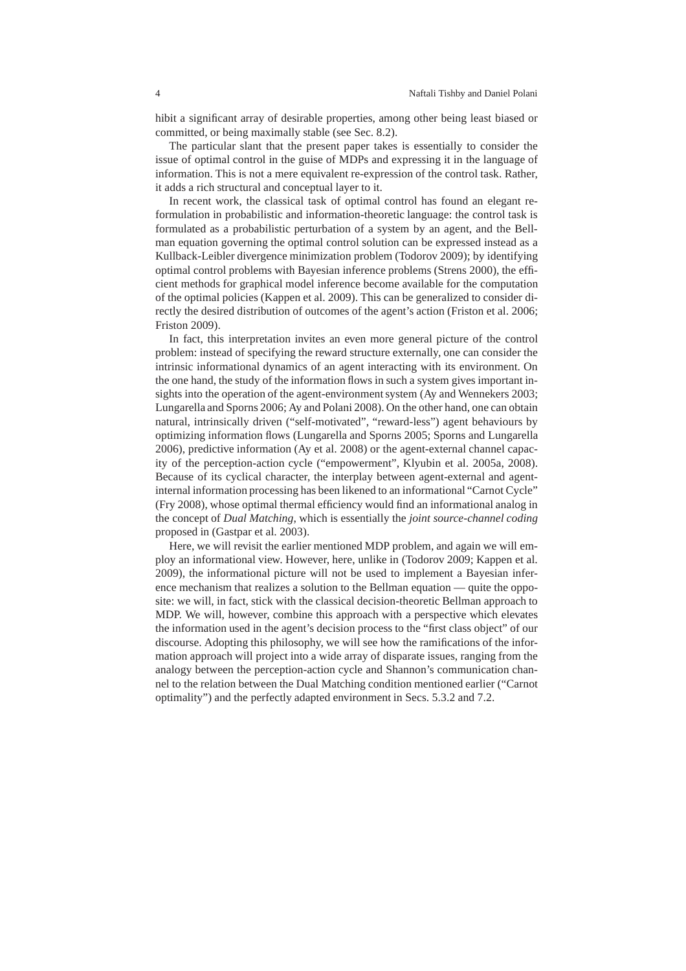hibit a significant array of desirable properties, among other being least biased or committed, or being maximally stable (see Sec. 8.2).

The particular slant that the present paper takes is essentially to consider the issue of optimal control in the guise of MDPs and expressing it in the language of information. This is not a mere equivalent re-expression of the control task. Rather, it adds a rich structural and conceptual layer to it.

In recent work, the classical task of optimal control has found an elegant reformulation in probabilistic and information-theoretic language: the control task is formulated as a probabilistic perturbation of a system by an agent, and the Bellman equation governing the optimal control solution can be expressed instead as a Kullback-Leibler divergence minimization problem (Todorov 2009); by identifying optimal control problems with Bayesian inference problems (Strens 2000), the efficient methods for graphical model inference become available for the computation of the optimal policies (Kappen et al. 2009). This can be generalized to consider directly the desired distribution of outcomes of the agent's action (Friston et al. 2006; Friston 2009).

In fact, this interpretation invites an even more general picture of the control problem: instead of specifying the reward structure externally, one can consider the intrinsic informational dynamics of an agent interacting with its environment. On the one hand, the study of the information flows in such a system gives important insights into the operation of the agent-environment system (Ay and Wennekers 2003; Lungarella and Sporns 2006; Ay and Polani 2008). On the other hand, one can obtain natural, intrinsically driven ("self-motivated", "reward-less") agent behaviours by optimizing information flows (Lungarella and Sporns 2005; Sporns and Lungarella 2006), predictive information (Ay et al. 2008) or the agent-external channel capacity of the perception-action cycle ("empowerment", Klyubin et al. 2005a, 2008). Because of its cyclical character, the interplay between agent-external and agentinternal information processing has been likened to an informational "Carnot Cycle" (Fry 2008), whose optimal thermal efficiency would find an informational analog in the concept of *Dual Matching*, which is essentially the *joint source-channel coding* proposed in (Gastpar et al. 2003).

Here, we will revisit the earlier mentioned MDP problem, and again we will employ an informational view. However, here, unlike in (Todorov 2009; Kappen et al. 2009), the informational picture will not be used to implement a Bayesian inference mechanism that realizes a solution to the Bellman equation — quite the opposite: we will, in fact, stick with the classical decision-theoretic Bellman approach to MDP. We will, however, combine this approach with a perspective which elevates the information used in the agent's decision process to the "first class object" of our discourse. Adopting this philosophy, we will see how the ramifications of the information approach will project into a wide array of disparate issues, ranging from the analogy between the perception-action cycle and Shannon's communication channel to the relation between the Dual Matching condition mentioned earlier ("Carnot optimality") and the perfectly adapted environment in Secs. 5.3.2 and 7.2.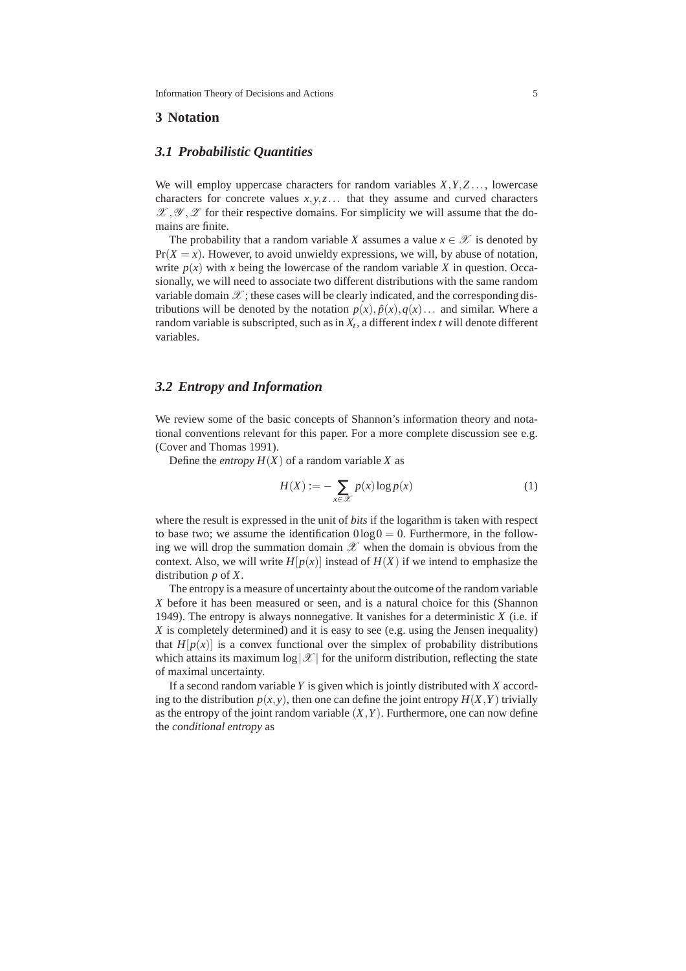## **3 Notation**

## *3.1 Probabilistic Quantities*

We will employ uppercase characters for random variables *X*,*Y*,*Z* ..., lowercase characters for concrete values  $x, y, z$ ... that they assume and curved characters  $\mathscr{X}, \mathscr{Y}, \mathscr{Z}$  for their respective domains. For simplicity we will assume that the domains are finite.

The probability that a random variable *X* assumes a value  $x \in \mathcal{X}$  is denoted by  $Pr(X = x)$ . However, to avoid unwieldy expressions, we will, by abuse of notation, write  $p(x)$  with *x* being the lowercase of the random variable *X* in question. Occasionally, we will need to associate two different distributions with the same random variable domain  $\mathscr X$ ; these cases will be clearly indicated, and the corresponding distributions will be denoted by the notation  $p(x)$ ,  $\hat{p}(x)$ ,  $q(x)$ ... and similar. Where a random variable is subscripted, such as in *X<sup>t</sup>* , a different index *t* will denote different variables.

## *3.2 Entropy and Information*

We review some of the basic concepts of Shannon's information theory and notational conventions relevant for this paper. For a more complete discussion see e.g. (Cover and Thomas 1991).

Define the *entropy*  $H(X)$  of a random variable *X* as

$$
H(X) := -\sum_{x \in \mathcal{X}} p(x) \log p(x) \tag{1}
$$

where the result is expressed in the unit of *bits* if the logarithm is taken with respect to base two; we assume the identification  $0\log 0 = 0$ . Furthermore, in the following we will drop the summation domain  $\mathscr X$  when the domain is obvious from the context. Also, we will write  $H[p(x)]$  instead of  $H(X)$  if we intend to emphasize the distribution *p* of *X*.

The entropy is a measure of uncertainty about the outcome of the random variable *X* before it has been measured or seen, and is a natural choice for this (Shannon 1949). The entropy is always nonnegative. It vanishes for a deterministic *X* (i.e. if *X* is completely determined) and it is easy to see (e.g. using the Jensen inequality) that  $H[p(x)]$  is a convex functional over the simplex of probability distributions which attains its maximum  $\log |\mathcal{X}|$  for the uniform distribution, reflecting the state of maximal uncertainty.

If a second random variable *Y* is given which is jointly distributed with *X* according to the distribution  $p(x, y)$ , then one can define the joint entropy  $H(X, Y)$  trivially as the entropy of the joint random variable  $(X, Y)$ . Furthermore, one can now define the *conditional entropy* as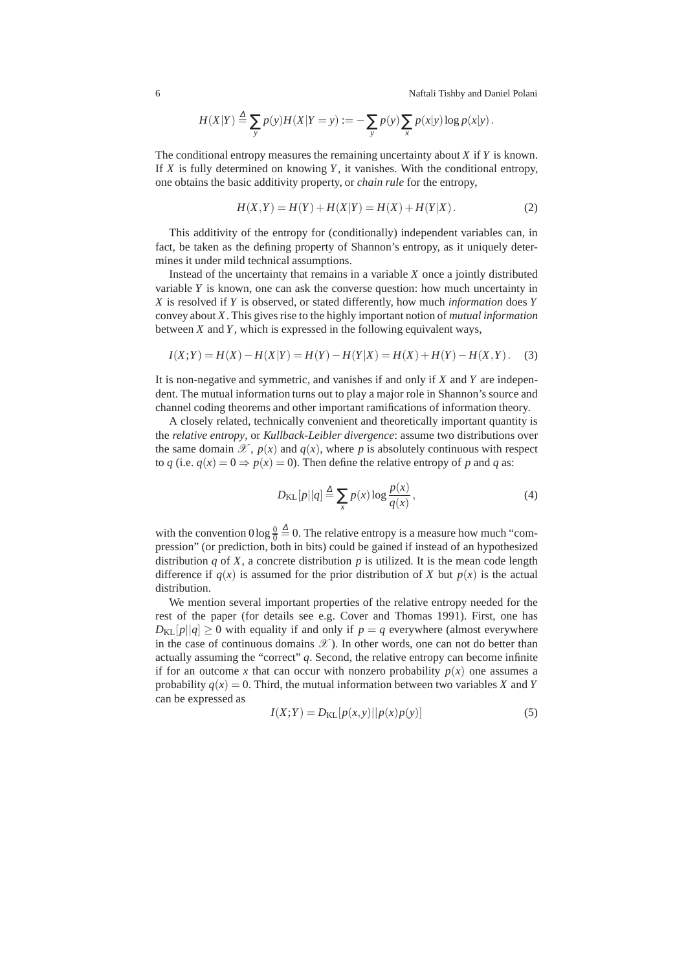6 Naftali Tishby and Daniel Polani

$$
H(X|Y) \stackrel{\Delta}{=} \sum_{y} p(y)H(X|Y=y) := -\sum_{y} p(y) \sum_{x} p(x|y) \log p(x|y).
$$

The conditional entropy measures the remaining uncertainty about *X* if *Y* is known. If *X* is fully determined on knowing *Y*, it vanishes. With the conditional entropy, one obtains the basic additivity property, or *chain rule* for the entropy,

$$
H(X,Y) = H(Y) + H(X|Y) = H(X) + H(Y|X).
$$
 (2)

This additivity of the entropy for (conditionally) independent variables can, in fact, be taken as the defining property of Shannon's entropy, as it uniquely determines it under mild technical assumptions.

Instead of the uncertainty that remains in a variable *X* once a jointly distributed variable *Y* is known, one can ask the converse question: how much uncertainty in *X* is resolved if *Y* is observed, or stated differently, how much *information* does *Y* convey about *X*. This gives rise to the highly important notion of *mutual information* between *X* and *Y*, which is expressed in the following equivalent ways,

$$
I(X;Y) = H(X) - H(X|Y) = H(Y) - H(Y|X) = H(X) + H(Y) - H(X,Y).
$$
 (3)

It is non-negative and symmetric, and vanishes if and only if *X* and *Y* are independent. The mutual information turns out to play a major role in Shannon's source and channel coding theorems and other important ramifications of information theory.

A closely related, technically convenient and theoretically important quantity is the *relative entropy*, or *Kullback-Leibler divergence*: assume two distributions over the same domain  $\mathscr{X}$ ,  $p(x)$  and  $q(x)$ , where p is absolutely continuous with respect to *q* (i.e.  $q(x) = 0 \Rightarrow p(x) = 0$ ). Then define the relative entropy of *p* and *q* as:

$$
D_{\text{KL}}[p||q] \stackrel{\Delta}{=} \sum_{x} p(x) \log \frac{p(x)}{q(x)},\tag{4}
$$

with the convention  $0 \log \frac{0}{0} \stackrel{\Delta}{=} 0$ . The relative entropy is a measure how much "compression" (or prediction, both in bits) could be gained if instead of an hypothesized distribution  $q$  of  $X$ , a concrete distribution  $p$  is utilized. It is the mean code length difference if  $q(x)$  is assumed for the prior distribution of X but  $p(x)$  is the actual distribution.

We mention several important properties of the relative entropy needed for the rest of the paper (for details see e.g. Cover and Thomas 1991). First, one has  $D_{KL}[p||q] \ge 0$  with equality if and only if  $p = q$  everywhere (almost everywhere in the case of continuous domains  $\mathscr{X}$ ). In other words, one can not do better than actually assuming the "correct" *q*. Second, the relative entropy can become infinite if for an outcome *x* that can occur with nonzero probability  $p(x)$  one assumes a probability  $q(x) = 0$ . Third, the mutual information between two variables *X* and *Y* can be expressed as

$$
I(X;Y) = D_{KL}[p(x,y)||p(x)p(y)]
$$
\n(5)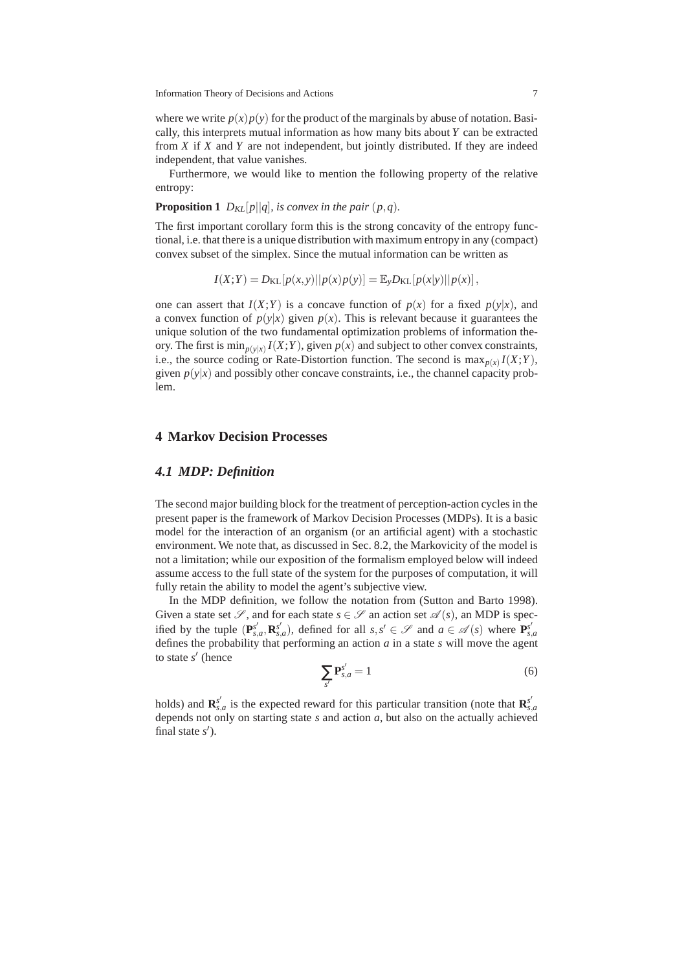where we write  $p(x)p(y)$  for the product of the marginals by abuse of notation. Basically, this interprets mutual information as how many bits about *Y* can be extracted from *X* if *X* and *Y* are not independent, but jointly distributed. If they are indeed independent, that value vanishes.

Furthermore, we would like to mention the following property of the relative entropy:

## **Proposition 1**  $D_{KL}[p||q]$ *, is convex in the pair*  $(p,q)$ *.*

The first important corollary form this is the strong concavity of the entropy functional, i.e. that there is a unique distribution with maximum entropy in any (compact) convex subset of the simplex. Since the mutual information can be written as

$$
I(X;Y) = D_{\text{KL}}[p(x,y)||p(x)p(y)] = \mathbb{E}_{y}D_{\text{KL}}[p(x|y)||p(x)],
$$

one can assert that  $I(X;Y)$  is a concave function of  $p(x)$  for a fixed  $p(y|x)$ , and a convex function of  $p(y|x)$  given  $p(x)$ . This is relevant because it guarantees the unique solution of the two fundamental optimization problems of information theory. The first is  $\min_{p(y|x)} I(X;Y)$ , given  $p(x)$  and subject to other convex constraints, i.e., the source coding or Rate-Distortion function. The second is  $\max_{p(x)} I(X;Y)$ , given  $p(y|x)$  and possibly other concave constraints, i.e., the channel capacity problem.

## **4 Markov Decision Processes**

## *4.1 MDP: Definition*

The second major building block for the treatment of perception-action cycles in the present paper is the framework of Markov Decision Processes (MDPs). It is a basic model for the interaction of an organism (or an artificial agent) with a stochastic environment. We note that, as discussed in Sec. 8.2, the Markovicity of the model is not a limitation; while our exposition of the formalism employed below will indeed assume access to the full state of the system for the purposes of computation, it will fully retain the ability to model the agent's subjective view.

In the MDP definition, we follow the notation from (Sutton and Barto 1998). Given a state set  $\mathscr{S}$ , and for each state  $s \in \mathscr{S}$  an action set  $\mathscr{A}(s)$ , an MDP is specified by the tuple  $(\mathbf{P}^{s'}_{s,a}, \mathbf{R}^{s'}_{s,a})$ , defined for all  $s, s' \in \mathcal{S}$  and  $a \in \mathcal{A}(s)$  where  $\mathbf{P}^{s'}_{s,a}$ defines the probability that performing an action *a* in a state *s* will move the agent to state *s* ′ (hence

$$
\sum_{s'} \mathbf{P}_{s,a}^{s'} = 1 \tag{6}
$$

holds) and  $\mathbf{R}_{s,a}^{s'}$  is the expected reward for this particular transition (note that  $\mathbf{R}_{s,a}^{s'}$ depends not only on starting state *s* and action *a*, but also on the actually achieved final state  $s'$ ).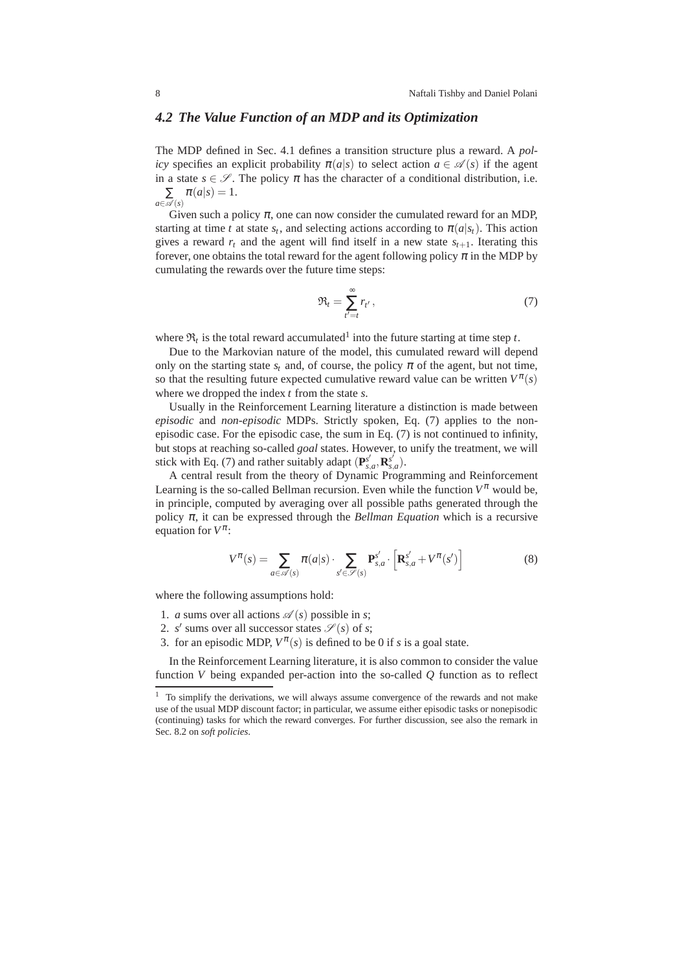## *4.2 The Value Function of an MDP and its Optimization*

The MDP defined in Sec. 4.1 defines a transition structure plus a reward. A *policy* specifies an explicit probability  $\pi(a|s)$  to select action  $a \in \mathcal{A}(s)$  if the agent in a state  $s \in \mathscr{S}$ . The policy  $\pi$  has the character of a conditional distribution, i.e.  $\sum \pi(a|s) = 1.$  $a \in \overline{\mathscr{A}}(s)$ 

Given such a policy  $\pi$ , one can now consider the cumulated reward for an MDP, starting at time *t* at state  $s_t$ , and selecting actions according to  $\pi(a|s_t)$ . This action gives a reward  $r_t$  and the agent will find itself in a new state  $s_{t+1}$ . Iterating this forever, one obtains the total reward for the agent following policy  $\pi$  in the MDP by cumulating the rewards over the future time steps:

$$
\mathfrak{R}_t = \sum_{t'=t}^{\infty} r_{t'},\tag{7}
$$

where  $\mathfrak{R}_t$  is the total reward accumulated<sup>1</sup> into the future starting at time step *t*.

Due to the Markovian nature of the model, this cumulated reward will depend only on the starting state  $s_t$  and, of course, the policy  $\pi$  of the agent, but not time, so that the resulting future expected cumulative reward value can be written  $V^{\pi}(s)$ where we dropped the index *t* from the state *s*.

Usually in the Reinforcement Learning literature a distinction is made between *episodic* and *non-episodic* MDPs. Strictly spoken, Eq. (7) applies to the nonepisodic case. For the episodic case, the sum in Eq. (7) is not continued to infinity, but stops at reaching so-called *goal* states. However, to unify the treatment, we will stick with Eq. (7) and rather suitably adapt  $(\mathbf{P}^{s'}_{s,a}, \mathbf{R}^{s'}_{s,a})$ .

A central result from the theory of Dynamic Programming and Reinforcement Learning is the so-called Bellman recursion. Even while the function  $V^{\pi}$  would be, in principle, computed by averaging over all possible paths generated through the policy  $\pi$ , it can be expressed through the *Bellman Equation* which is a recursive equation for  $V^{\pi}$ :

$$
V^{\pi}(s) = \sum_{a \in \mathscr{A}(s)} \pi(a|s) \cdot \sum_{s' \in \mathscr{S}(s)} \mathbf{P}_{s,a}^{s'} \cdot \left[ \mathbf{R}_{s,a}^{s'} + V^{\pi}(s') \right]
$$
(8)

where the following assumptions hold:

- 1. *a* sums over all actions  $\mathscr{A}(s)$  possible in *s*;
- 2. *s'* sums over all successor states  $\mathscr{S}(s)$  of *s*;
- 3. for an episodic MDP,  $V^{\pi}(s)$  is defined to be 0 if *s* is a goal state.

In the Reinforcement Learning literature, it is also common to consider the value function *V* being expanded per-action into the so-called *Q* function as to reflect

<sup>&</sup>lt;sup>1</sup> To simplify the derivations, we will always assume convergence of the rewards and not make use of the usual MDP discount factor; in particular, we assume either episodic tasks or nonepisodic (continuing) tasks for which the reward converges. For further discussion, see also the remark in Sec. 8.2 on *soft policies*.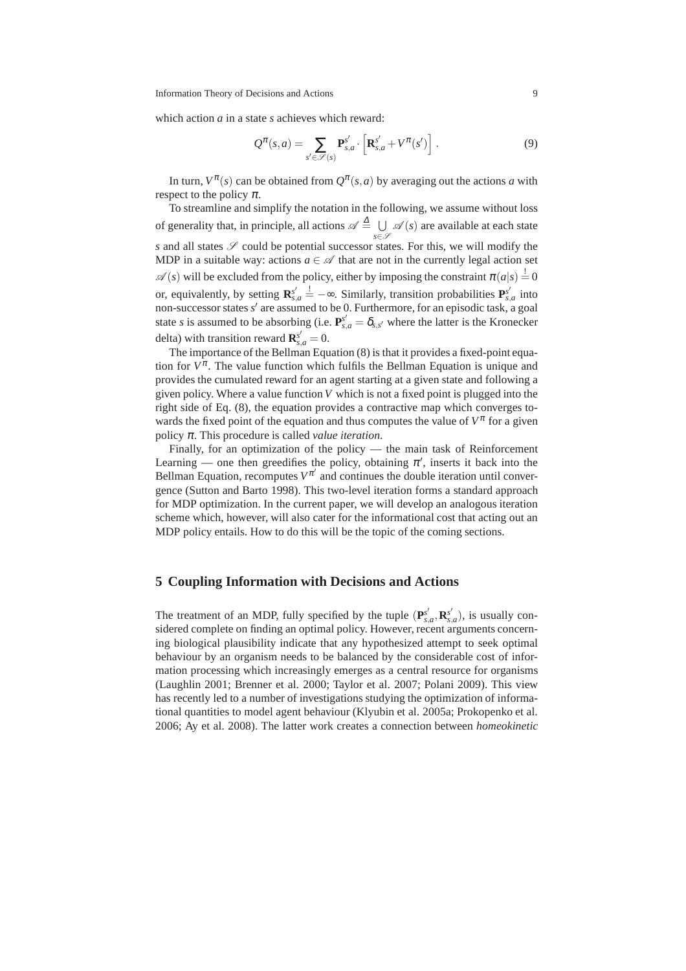which action *a* in a state *s* achieves which reward:

$$
Q^{\pi}(s,a) = \sum_{s' \in \mathscr{S}(s)} \mathbf{P}_{s,a}^{s'} \cdot \left[ \mathbf{R}_{s,a}^{s'} + V^{\pi}(s') \right]. \tag{9}
$$

In turn,  $V^{\pi}(s)$  can be obtained from  $Q^{\pi}(s,a)$  by averaging out the actions *a* with respect to the policy  $\pi$ .

To streamline and simplify the notation in the following, we assume without loss of generality that, in principle, all actions  $\mathscr{A} \triangleq \cup$ *s*∈S  $\mathscr{A}(s)$  are available at each state *s* and all states  $\mathscr S$  could be potential successor states. For this, we will modify the MDP in a suitable way: actions  $a \in \mathcal{A}$  that are not in the currently legal action set  $\mathscr{A}(s)$  will be excluded from the policy, either by imposing the constraint  $\pi(a|s) \stackrel{!}{=} 0$ or, equivalently, by setting  $\mathbf{R}_{s,a}^{s'} \stackrel{!}{=} -\infty$ . Similarly, transition probabilities  $\mathbf{P}_{s,a}^{s'}$  into non-successor states *s* ′ are assumed to be 0. Furthermore, for an episodic task, a goal state *s* is assumed to be absorbing (i.e.  $\mathbf{P}_{s,a}^{s'} = \delta_{s,s'}$  where the latter is the Kronecker delta) with transition reward  $\mathbf{R}_{s,a}^{s'} = 0$ .

The importance of the Bellman Equation (8) is that it provides a fixed-point equation for  $V^{\pi}$ . The value function which fulfils the Bellman Equation is unique and provides the cumulated reward for an agent starting at a given state and following a given policy. Where a value function*V* which is not a fixed point is plugged into the right side of Eq. (8), the equation provides a contractive map which converges towards the fixed point of the equation and thus computes the value of  $V^{\pi}$  for a given policy <sup>π</sup>. This procedure is called *value iteration*.

Finally, for an optimization of the policy — the main task of Reinforcement Learning — one then greedifies the policy, obtaining  $\pi'$ , inserts it back into the Bellman Equation, recomputes  $V^{\pi'}$  and continues the double iteration until convergence (Sutton and Barto 1998). This two-level iteration forms a standard approach for MDP optimization. In the current paper, we will develop an analogous iteration scheme which, however, will also cater for the informational cost that acting out an MDP policy entails. How to do this will be the topic of the coming sections.

## **5 Coupling Information with Decisions and Actions**

The treatment of an MDP, fully specified by the tuple  $(\mathbf{P}_{s,a}^{s'}, \mathbf{R}_{s,a}^{s'})$ , is usually considered complete on finding an optimal policy. However, recent arguments concerning biological plausibility indicate that any hypothesized attempt to seek optimal behaviour by an organism needs to be balanced by the considerable cost of information processing which increasingly emerges as a central resource for organisms (Laughlin 2001; Brenner et al. 2000; Taylor et al. 2007; Polani 2009). This view has recently led to a number of investigations studying the optimization of informational quantities to model agent behaviour (Klyubin et al. 2005a; Prokopenko et al. 2006; Ay et al. 2008). The latter work creates a connection between *homeokinetic*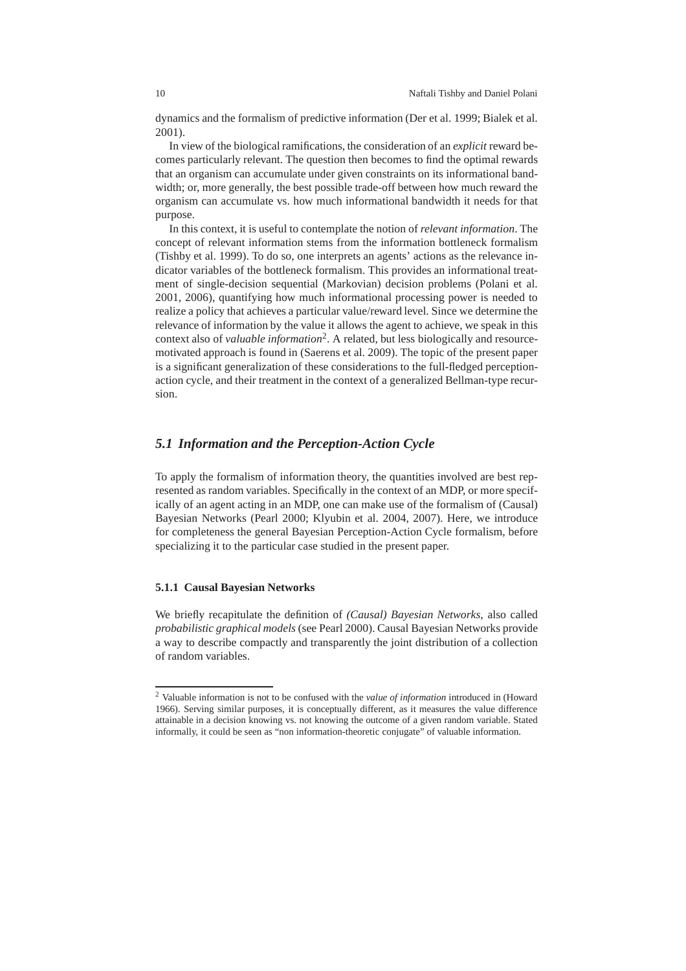dynamics and the formalism of predictive information (Der et al. 1999; Bialek et al. 2001).

In view of the biological ramifications, the consideration of an *explicit* reward becomes particularly relevant. The question then becomes to find the optimal rewards that an organism can accumulate under given constraints on its informational bandwidth; or, more generally, the best possible trade-off between how much reward the organism can accumulate vs. how much informational bandwidth it needs for that purpose.

In this context, it is useful to contemplate the notion of *relevant information*. The concept of relevant information stems from the information bottleneck formalism (Tishby et al. 1999). To do so, one interprets an agents' actions as the relevance indicator variables of the bottleneck formalism. This provides an informational treatment of single-decision sequential (Markovian) decision problems (Polani et al. 2001, 2006), quantifying how much informational processing power is needed to realize a policy that achieves a particular value/reward level. Since we determine the relevance of information by the value it allows the agent to achieve, we speak in this context also of *valuable information*<sup>2</sup> . A related, but less biologically and resourcemotivated approach is found in (Saerens et al. 2009). The topic of the present paper is a significant generalization of these considerations to the full-fledged perceptionaction cycle, and their treatment in the context of a generalized Bellman-type recursion.

## *5.1 Information and the Perception-Action Cycle*

To apply the formalism of information theory, the quantities involved are best represented as random variables. Specifically in the context of an MDP, or more specifically of an agent acting in an MDP, one can make use of the formalism of (Causal) Bayesian Networks (Pearl 2000; Klyubin et al. 2004, 2007). Here, we introduce for completeness the general Bayesian Perception-Action Cycle formalism, before specializing it to the particular case studied in the present paper.

## **5.1.1 Causal Bayesian Networks**

We briefly recapitulate the definition of *(Causal) Bayesian Networks*, also called *probabilistic graphical models* (see Pearl 2000). Causal Bayesian Networks provide a way to describe compactly and transparently the joint distribution of a collection of random variables.

<sup>2</sup> Valuable information is not to be confused with the *value of information* introduced in (Howard 1966). Serving similar purposes, it is conceptually different, as it measures the value difference attainable in a decision knowing vs. not knowing the outcome of a given random variable. Stated informally, it could be seen as "non information-theoretic conjugate" of valuable information.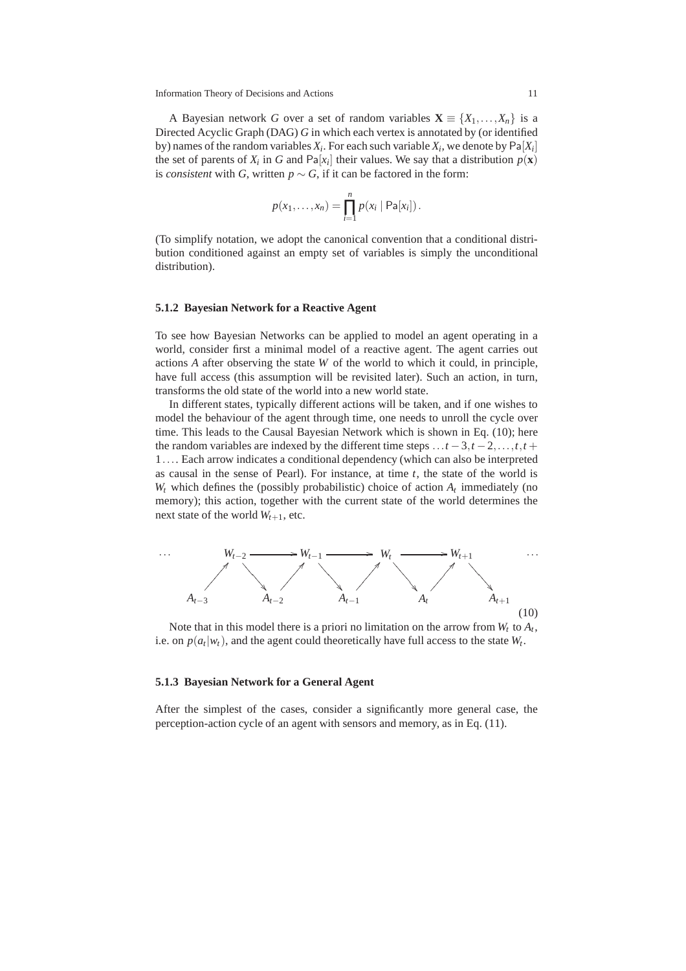A Bayesian network *G* over a set of random variables  $X = \{X_1, \ldots, X_n\}$  is a Directed Acyclic Graph (DAG) *G* in which each vertex is annotated by (or identified by) names of the random variables  $X_i$ . For each such variable  $X_i$ , we denote by  $Pa[X_i]$ the set of parents of  $X_i$  in  $G$  and  $Pa[x_i]$  their values. We say that a distribution  $p(\mathbf{x})$ is *consistent* with *G*, written  $p \sim G$ , if it can be factored in the form:

$$
p(x_1,...,x_n) = \prod_{i=1}^n p(x_i | \text{Pa}[x_i]).
$$

(To simplify notation, we adopt the canonical convention that a conditional distribution conditioned against an empty set of variables is simply the unconditional distribution).

#### **5.1.2 Bayesian Network for a Reactive Agent**

To see how Bayesian Networks can be applied to model an agent operating in a world, consider first a minimal model of a reactive agent. The agent carries out actions *A* after observing the state *W* of the world to which it could, in principle, have full access (this assumption will be revisited later). Such an action, in turn, transforms the old state of the world into a new world state.

In different states, typically different actions will be taken, and if one wishes to model the behaviour of the agent through time, one needs to unroll the cycle over time. This leads to the Causal Bayesian Network which is shown in Eq. (10); here the random variables are indexed by the different time steps  $\dots t - 3, t - 2, \dots, t, t +$ 1.... Each arrow indicates a conditional dependency (which can also be interpreted as causal in the sense of Pearl). For instance, at time *t*, the state of the world is  $W_t$  which defines the (possibly probabilistic) choice of action  $A_t$  immediately (no memory); this action, together with the current state of the world determines the next state of the world  $W_{t+1}$ , etc.



Note that in this model there is a priori no limitation on the arrow from  $W_t$  to  $A_t$ , i.e. on  $p(a_t|w_t)$ , and the agent could theoretically have full access to the state  $W_t$ .

#### **5.1.3 Bayesian Network for a General Agent**

After the simplest of the cases, consider a significantly more general case, the perception-action cycle of an agent with sensors and memory, as in Eq. (11).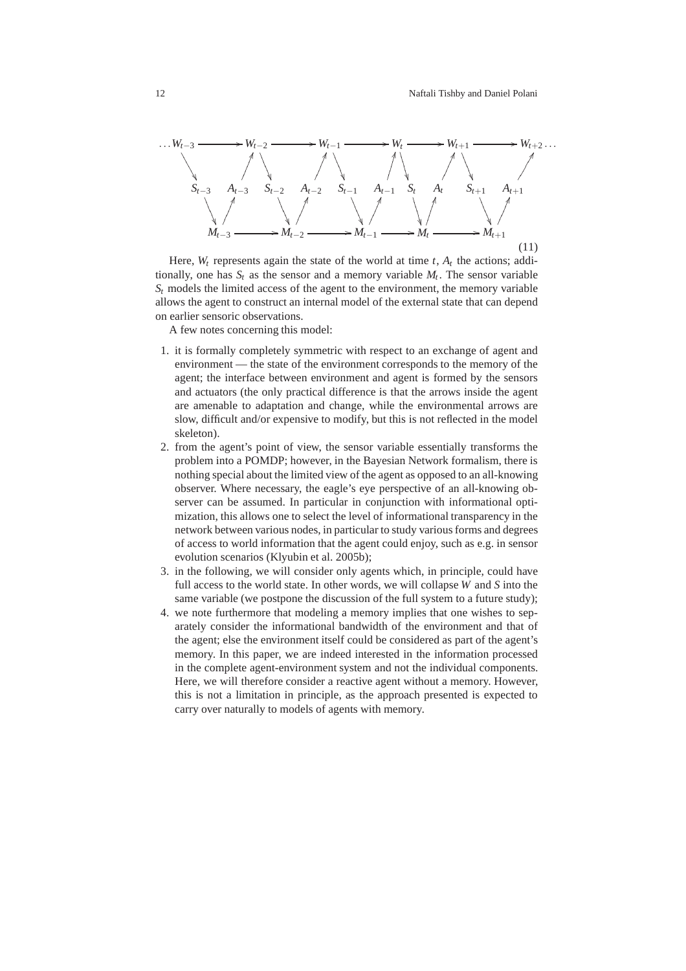

Here,  $W_t$  represents again the state of the world at time  $t$ ,  $A_t$  the actions; additionally, one has  $S_t$  as the sensor and a memory variable  $M_t$ . The sensor variable  $S_t$  models the limited access of the agent to the environment, the memory variable allows the agent to construct an internal model of the external state that can depend on earlier sensoric observations.

A few notes concerning this model:

- 1. it is formally completely symmetric with respect to an exchange of agent and environment — the state of the environment corresponds to the memory of the agent; the interface between environment and agent is formed by the sensors and actuators (the only practical difference is that the arrows inside the agent are amenable to adaptation and change, while the environmental arrows are slow, difficult and/or expensive to modify, but this is not reflected in the model skeleton).
- 2. from the agent's point of view, the sensor variable essentially transforms the problem into a POMDP; however, in the Bayesian Network formalism, there is nothing special about the limited view of the agent as opposed to an all-knowing observer. Where necessary, the eagle's eye perspective of an all-knowing observer can be assumed. In particular in conjunction with informational optimization, this allows one to select the level of informational transparency in the network between various nodes, in particular to study various forms and degrees of access to world information that the agent could enjoy, such as e.g. in sensor evolution scenarios (Klyubin et al. 2005b);
- 3. in the following, we will consider only agents which, in principle, could have full access to the world state. In other words, we will collapse *W* and *S* into the same variable (we postpone the discussion of the full system to a future study);
- 4. we note furthermore that modeling a memory implies that one wishes to separately consider the informational bandwidth of the environment and that of the agent; else the environment itself could be considered as part of the agent's memory. In this paper, we are indeed interested in the information processed in the complete agent-environment system and not the individual components. Here, we will therefore consider a reactive agent without a memory. However, this is not a limitation in principle, as the approach presented is expected to carry over naturally to models of agents with memory.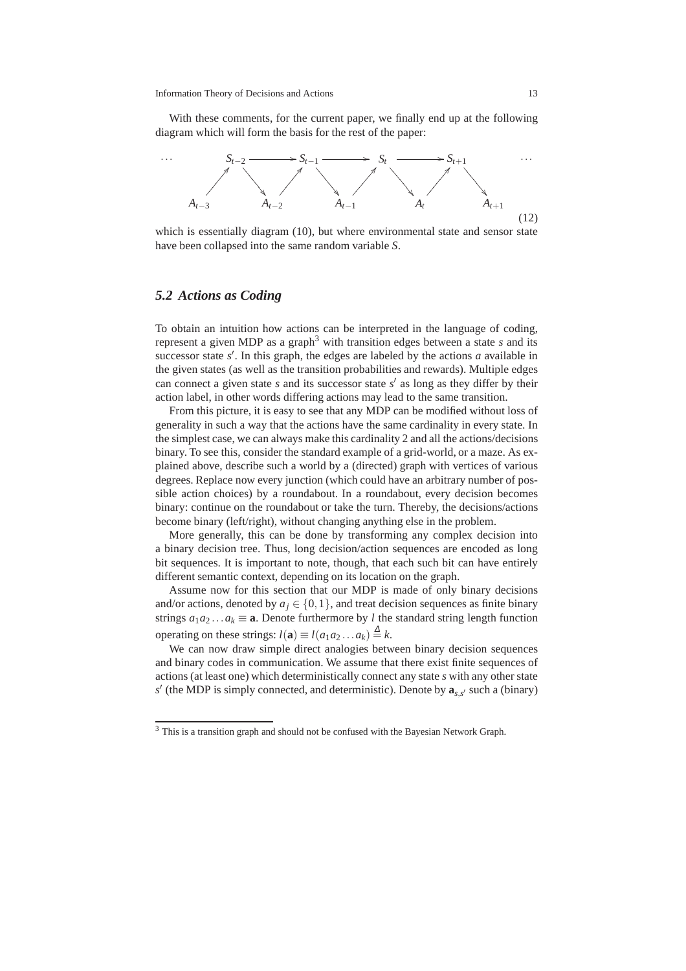With these comments, for the current paper, we finally end up at the following diagram which will form the basis for the rest of the paper:



which is essentially diagram (10), but where environmental state and sensor state have been collapsed into the same random variable *S*.

## *5.2 Actions as Coding*

To obtain an intuition how actions can be interpreted in the language of coding, represent a given MDP as a graph<sup>3</sup> with transition edges between a state *s* and its successor state  $s'$ . In this graph, the edges are labeled by the actions  $a$  available in the given states (as well as the transition probabilities and rewards). Multiple edges can connect a given state  $s$  and its successor state  $s'$  as long as they differ by their action label, in other words differing actions may lead to the same transition.

From this picture, it is easy to see that any MDP can be modified without loss of generality in such a way that the actions have the same cardinality in every state. In the simplest case, we can always make this cardinality 2 and all the actions/decisions binary. To see this, consider the standard example of a grid-world, or a maze. As explained above, describe such a world by a (directed) graph with vertices of various degrees. Replace now every junction (which could have an arbitrary number of possible action choices) by a roundabout. In a roundabout, every decision becomes binary: continue on the roundabout or take the turn. Thereby, the decisions/actions become binary (left/right), without changing anything else in the problem.

More generally, this can be done by transforming any complex decision into a binary decision tree. Thus, long decision/action sequences are encoded as long bit sequences. It is important to note, though, that each such bit can have entirely different semantic context, depending on its location on the graph.

Assume now for this section that our MDP is made of only binary decisions and/or actions, denoted by  $a_j \in \{0,1\}$ , and treat decision sequences as finite binary strings  $a_1a_2...a_k \equiv \mathbf{a}$ . Denote furthermore by *l* the standard string length function operating on these strings:  $l(\mathbf{a}) \equiv l(a_1 a_2 ... a_k) \stackrel{\Delta}{=} k$ .

We can now draw simple direct analogies between binary decision sequences and binary codes in communication. We assume that there exist finite sequences of actions (at least one) which deterministically connect any state *s* with any other state *s* ′ (the MDP is simply connected, and deterministic). Denote by **a***s*,*<sup>s</sup>* ′ such a (binary)

<sup>&</sup>lt;sup>3</sup> This is a transition graph and should not be confused with the Bayesian Network Graph.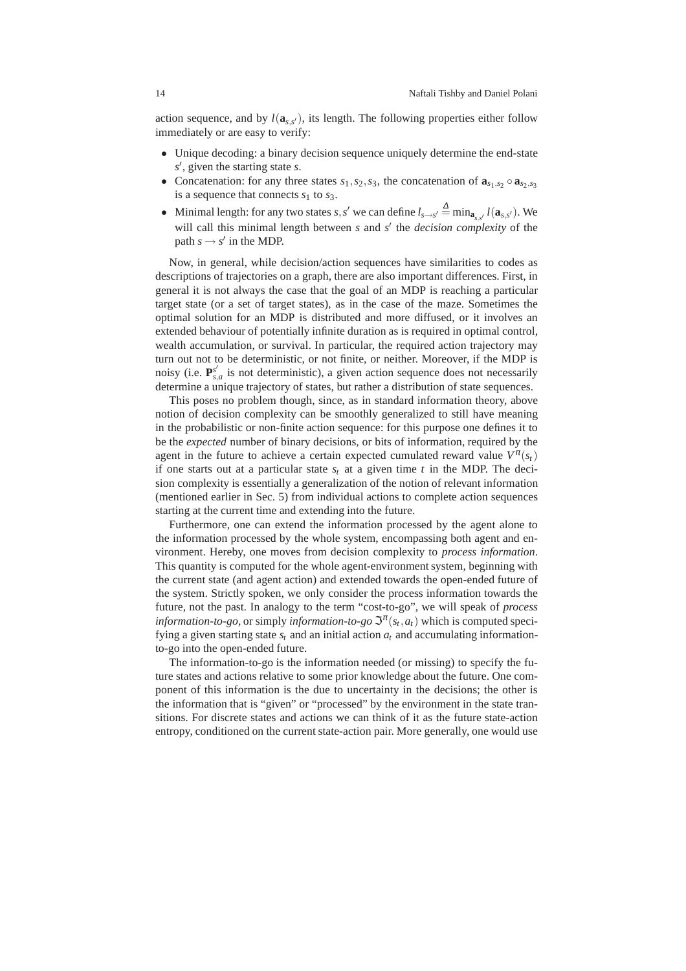action sequence, and by  $l(\mathbf{a}_{s,s'})$ , its length. The following properties either follow immediately or are easy to verify:

- Unique decoding: a binary decision sequence uniquely determine the end-state *s* ′ , given the starting state *s*.
- Concatenation: for any three states  $s_1$ ,  $s_2$ ,  $s_3$ , the concatenation of  $\mathbf{a}_{s_1,s_2} \circ \mathbf{a}_{s_2,s_3}$ is a sequence that connects  $s_1$  to  $s_3$ .
- Minimal length: for any two states *s*, *s'* we can define  $l_{s \to s'} \stackrel{\Delta}{=} \min_{\mathbf{a}_{s,s'}} l(\mathbf{a}_{s,s'})$ . We will call this minimal length between *s* and *s'* the *decision complexity* of the path  $s \rightarrow s'$  in the MDP.

Now, in general, while decision/action sequences have similarities to codes as descriptions of trajectories on a graph, there are also important differences. First, in general it is not always the case that the goal of an MDP is reaching a particular target state (or a set of target states), as in the case of the maze. Sometimes the optimal solution for an MDP is distributed and more diffused, or it involves an extended behaviour of potentially infinite duration as is required in optimal control, wealth accumulation, or survival. In particular, the required action trajectory may turn out not to be deterministic, or not finite, or neither. Moreover, if the MDP is noisy (i.e.  $\mathbf{P}_{s,a}^{s'}$  is not deterministic), a given action sequence does not necessarily determine a unique trajectory of states, but rather a distribution of state sequences.

This poses no problem though, since, as in standard information theory, above notion of decision complexity can be smoothly generalized to still have meaning in the probabilistic or non-finite action sequence: for this purpose one defines it to be the *expected* number of binary decisions, or bits of information, required by the agent in the future to achieve a certain expected cumulated reward value  $V^{\pi}(s_t)$ if one starts out at a particular state  $s_t$  at a given time  $t$  in the MDP. The decision complexity is essentially a generalization of the notion of relevant information (mentioned earlier in Sec. 5) from individual actions to complete action sequences starting at the current time and extending into the future.

Furthermore, one can extend the information processed by the agent alone to the information processed by the whole system, encompassing both agent and environment. Hereby, one moves from decision complexity to *process information*. This quantity is computed for the whole agent-environment system, beginning with the current state (and agent action) and extended towards the open-ended future of the system. Strictly spoken, we only consider the process information towards the future, not the past. In analogy to the term "cost-to-go", we will speak of *process information-to-go*, or simply *information-to-go*  $\mathfrak{S}^{\pi}(s_t, a_t)$  which is computed specifying a given starting state  $s_t$  and an initial action  $a_t$  and accumulating informationto-go into the open-ended future.

The information-to-go is the information needed (or missing) to specify the future states and actions relative to some prior knowledge about the future. One component of this information is the due to uncertainty in the decisions; the other is the information that is "given" or "processed" by the environment in the state transitions. For discrete states and actions we can think of it as the future state-action entropy, conditioned on the current state-action pair. More generally, one would use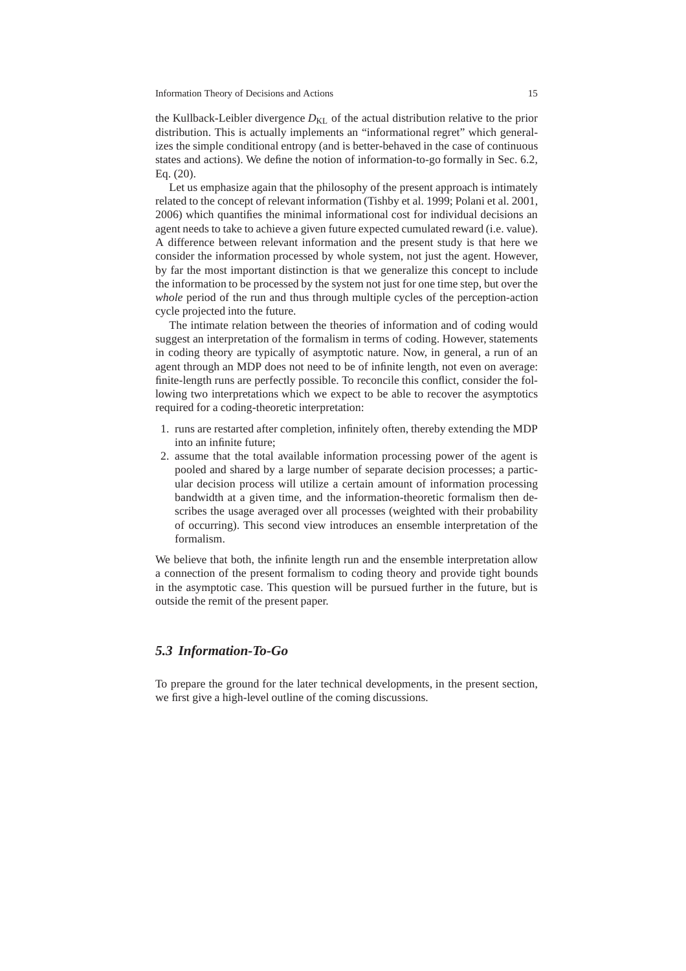the Kullback-Leibler divergence  $D_{KL}$  of the actual distribution relative to the prior distribution. This is actually implements an "informational regret" which generalizes the simple conditional entropy (and is better-behaved in the case of continuous states and actions). We define the notion of information-to-go formally in Sec. 6.2, Eq. (20).

Let us emphasize again that the philosophy of the present approach is intimately related to the concept of relevant information (Tishby et al. 1999; Polani et al. 2001, 2006) which quantifies the minimal informational cost for individual decisions an agent needs to take to achieve a given future expected cumulated reward (i.e. value). A difference between relevant information and the present study is that here we consider the information processed by whole system, not just the agent. However, by far the most important distinction is that we generalize this concept to include the information to be processed by the system not just for one time step, but over the *whole* period of the run and thus through multiple cycles of the perception-action cycle projected into the future.

The intimate relation between the theories of information and of coding would suggest an interpretation of the formalism in terms of coding. However, statements in coding theory are typically of asymptotic nature. Now, in general, a run of an agent through an MDP does not need to be of infinite length, not even on average: finite-length runs are perfectly possible. To reconcile this conflict, consider the following two interpretations which we expect to be able to recover the asymptotics required for a coding-theoretic interpretation:

- 1. runs are restarted after completion, infinitely often, thereby extending the MDP into an infinite future;
- 2. assume that the total available information processing power of the agent is pooled and shared by a large number of separate decision processes; a particular decision process will utilize a certain amount of information processing bandwidth at a given time, and the information-theoretic formalism then describes the usage averaged over all processes (weighted with their probability of occurring). This second view introduces an ensemble interpretation of the formalism.

We believe that both, the infinite length run and the ensemble interpretation allow a connection of the present formalism to coding theory and provide tight bounds in the asymptotic case. This question will be pursued further in the future, but is outside the remit of the present paper.

## *5.3 Information-To-Go*

To prepare the ground for the later technical developments, in the present section, we first give a high-level outline of the coming discussions.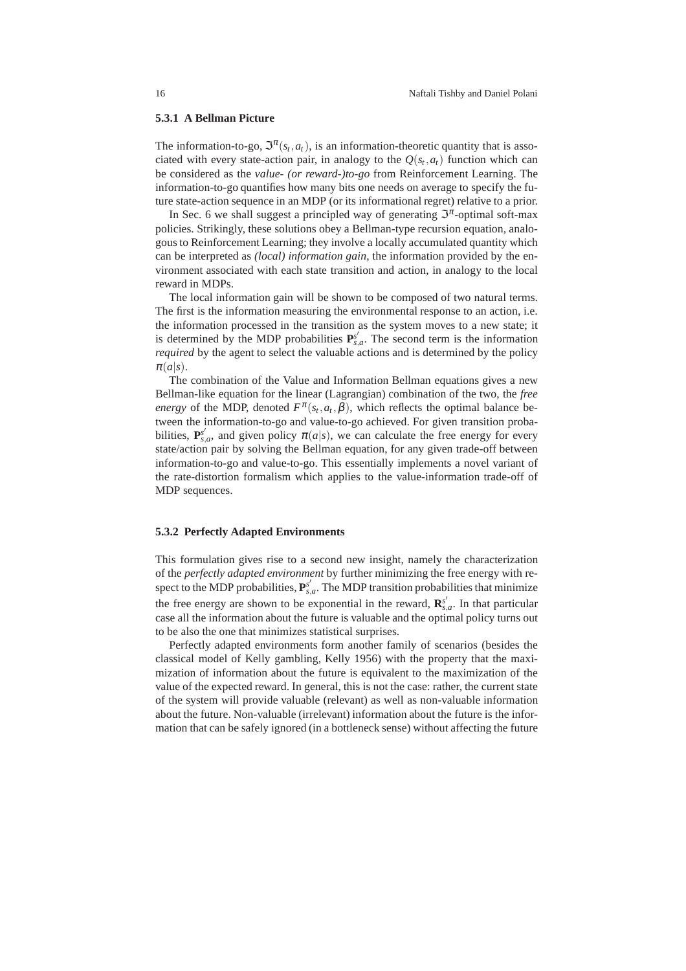## **5.3.1 A Bellman Picture**

The information-to-go,  $\mathfrak{S}^{\pi}(s_t, a_t)$ , is an information-theoretic quantity that is associated with every state-action pair, in analogy to the  $Q(s_t, a_t)$  function which can be considered as the *value- (or reward-)to-go* from Reinforcement Learning. The information-to-go quantifies how many bits one needs on average to specify the future state-action sequence in an MDP (or its informational regret) relative to a prior.

In Sec. 6 we shall suggest a principled way of generating  $\mathfrak{S}^{\pi}$ -optimal soft-max policies. Strikingly, these solutions obey a Bellman-type recursion equation, analogous to Reinforcement Learning; they involve a locally accumulated quantity which can be interpreted as *(local) information gain*, the information provided by the environment associated with each state transition and action, in analogy to the local reward in MDPs.

The local information gain will be shown to be composed of two natural terms. The first is the information measuring the environmental response to an action, i.e. the information processed in the transition as the system moves to a new state; it is determined by the MDP probabilities  $\mathbf{P}_{s,a}^{s'}$ . The second term is the information *required* by the agent to select the valuable actions and is determined by the policy  $\pi(a|s)$ .

The combination of the Value and Information Bellman equations gives a new Bellman-like equation for the linear (Lagrangian) combination of the two, the *free energy* of the MDP, denoted  $F^{\pi}(s_t, a_t, \beta)$ , which reflects the optimal balance between the information-to-go and value-to-go achieved. For given transition probabilities,  $\mathbf{P}_{s,a}^{s'}$ , and given policy  $\pi(a|s)$ , we can calculate the free energy for every state/action pair by solving the Bellman equation, for any given trade-off between information-to-go and value-to-go. This essentially implements a novel variant of the rate-distortion formalism which applies to the value-information trade-off of MDP sequences.

#### **5.3.2 Perfectly Adapted Environments**

This formulation gives rise to a second new insight, namely the characterization of the *perfectly adapted environment* by further minimizing the free energy with respect to the MDP probabilities,  $\mathbf{P}_{s,a}^{s'}$ . The MDP transition probabilities that minimize the free energy are shown to be exponential in the reward,  $\mathbf{R}_{s,a}^{s'}$ . In that particular case all the information about the future is valuable and the optimal policy turns out to be also the one that minimizes statistical surprises.

Perfectly adapted environments form another family of scenarios (besides the classical model of Kelly gambling, Kelly 1956) with the property that the maximization of information about the future is equivalent to the maximization of the value of the expected reward. In general, this is not the case: rather, the current state of the system will provide valuable (relevant) as well as non-valuable information about the future. Non-valuable (irrelevant) information about the future is the information that can be safely ignored (in a bottleneck sense) without affecting the future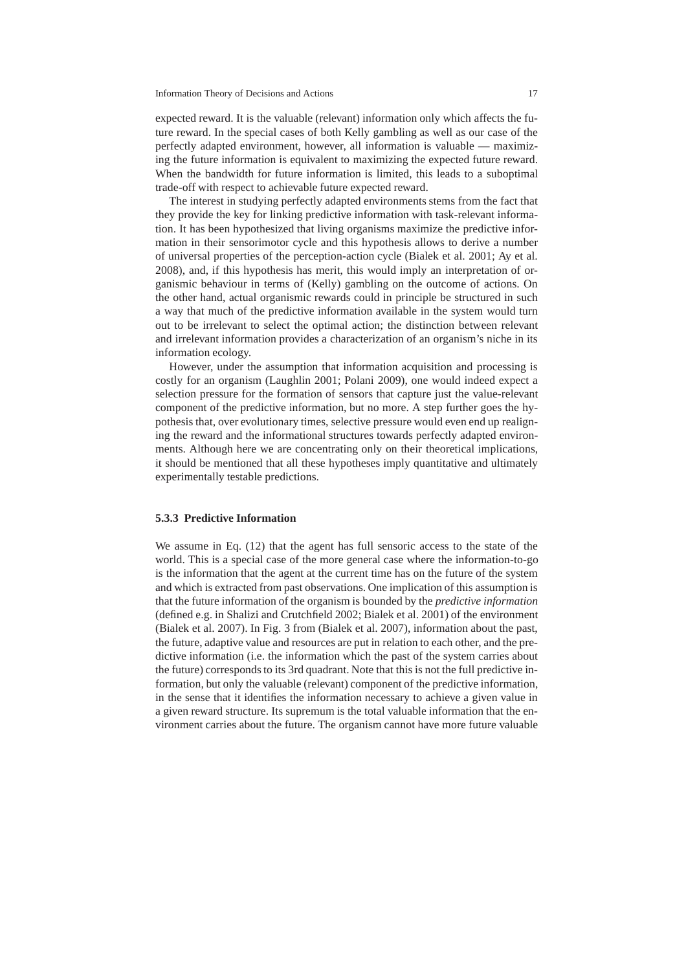expected reward. It is the valuable (relevant) information only which affects the future reward. In the special cases of both Kelly gambling as well as our case of the perfectly adapted environment, however, all information is valuable — maximizing the future information is equivalent to maximizing the expected future reward. When the bandwidth for future information is limited, this leads to a suboptimal trade-off with respect to achievable future expected reward.

The interest in studying perfectly adapted environments stems from the fact that they provide the key for linking predictive information with task-relevant information. It has been hypothesized that living organisms maximize the predictive information in their sensorimotor cycle and this hypothesis allows to derive a number of universal properties of the perception-action cycle (Bialek et al. 2001; Ay et al. 2008), and, if this hypothesis has merit, this would imply an interpretation of organismic behaviour in terms of (Kelly) gambling on the outcome of actions. On the other hand, actual organismic rewards could in principle be structured in such a way that much of the predictive information available in the system would turn out to be irrelevant to select the optimal action; the distinction between relevant and irrelevant information provides a characterization of an organism's niche in its information ecology.

However, under the assumption that information acquisition and processing is costly for an organism (Laughlin 2001; Polani 2009), one would indeed expect a selection pressure for the formation of sensors that capture just the value-relevant component of the predictive information, but no more. A step further goes the hypothesis that, over evolutionary times, selective pressure would even end up realigning the reward and the informational structures towards perfectly adapted environments. Although here we are concentrating only on their theoretical implications, it should be mentioned that all these hypotheses imply quantitative and ultimately experimentally testable predictions.

### **5.3.3 Predictive Information**

We assume in Eq. (12) that the agent has full sensoric access to the state of the world. This is a special case of the more general case where the information-to-go is the information that the agent at the current time has on the future of the system and which is extracted from past observations. One implication of this assumption is that the future information of the organism is bounded by the *predictive information* (defined e.g. in Shalizi and Crutchfield 2002; Bialek et al. 2001) of the environment (Bialek et al. 2007). In Fig. 3 from (Bialek et al. 2007), information about the past, the future, adaptive value and resources are put in relation to each other, and the predictive information (i.e. the information which the past of the system carries about the future) corresponds to its 3rd quadrant. Note that this is not the full predictive information, but only the valuable (relevant) component of the predictive information, in the sense that it identifies the information necessary to achieve a given value in a given reward structure. Its supremum is the total valuable information that the environment carries about the future. The organism cannot have more future valuable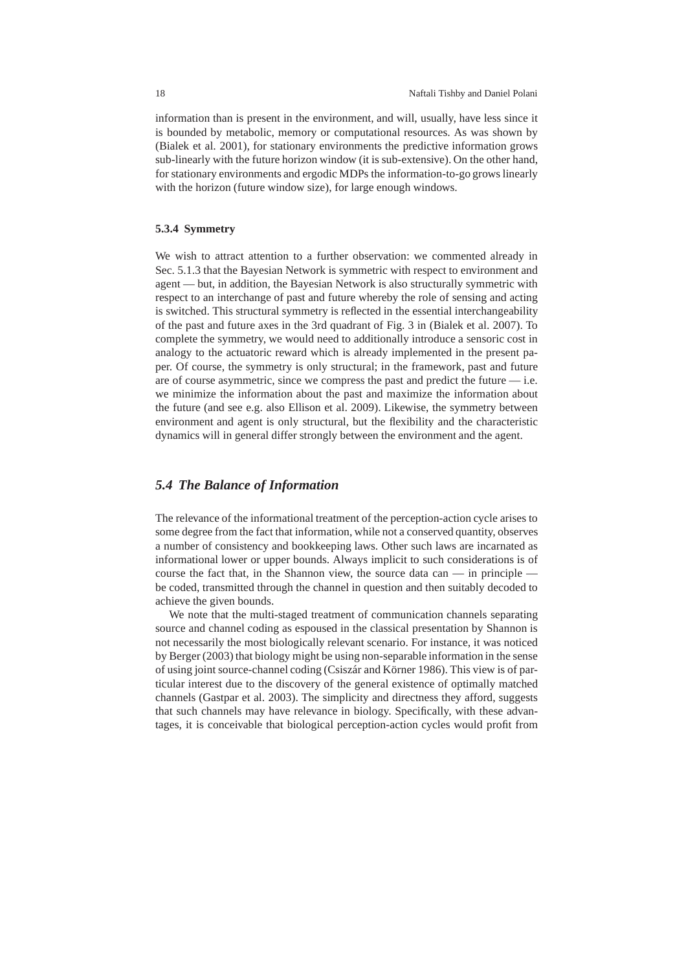information than is present in the environment, and will, usually, have less since it is bounded by metabolic, memory or computational resources. As was shown by (Bialek et al. 2001), for stationary environments the predictive information grows sub-linearly with the future horizon window (it is sub-extensive). On the other hand, for stationary environments and ergodic MDPs the information-to-go grows linearly with the horizon (future window size), for large enough windows.

#### **5.3.4 Symmetry**

We wish to attract attention to a further observation: we commented already in Sec. 5.1.3 that the Bayesian Network is symmetric with respect to environment and agent — but, in addition, the Bayesian Network is also structurally symmetric with respect to an interchange of past and future whereby the role of sensing and acting is switched. This structural symmetry is reflected in the essential interchangeability of the past and future axes in the 3rd quadrant of Fig. 3 in (Bialek et al. 2007). To complete the symmetry, we would need to additionally introduce a sensoric cost in analogy to the actuatoric reward which is already implemented in the present paper. Of course, the symmetry is only structural; in the framework, past and future are of course asymmetric, since we compress the past and predict the future  $-$  i.e. we minimize the information about the past and maximize the information about the future (and see e.g. also Ellison et al. 2009). Likewise, the symmetry between environment and agent is only structural, but the flexibility and the characteristic dynamics will in general differ strongly between the environment and the agent.

## *5.4 The Balance of Information*

The relevance of the informational treatment of the perception-action cycle arises to some degree from the fact that information, while not a conserved quantity, observes a number of consistency and bookkeeping laws. Other such laws are incarnated as informational lower or upper bounds. Always implicit to such considerations is of course the fact that, in the Shannon view, the source data can — in principle be coded, transmitted through the channel in question and then suitably decoded to achieve the given bounds.

We note that the multi-staged treatment of communication channels separating source and channel coding as espoused in the classical presentation by Shannon is not necessarily the most biologically relevant scenario. For instance, it was noticed by Berger (2003) that biology might be using non-separable information in the sense of using joint source-channel coding (Csiszár and Körner 1986). This view is of particular interest due to the discovery of the general existence of optimally matched channels (Gastpar et al. 2003). The simplicity and directness they afford, suggests that such channels may have relevance in biology. Specifically, with these advantages, it is conceivable that biological perception-action cycles would profit from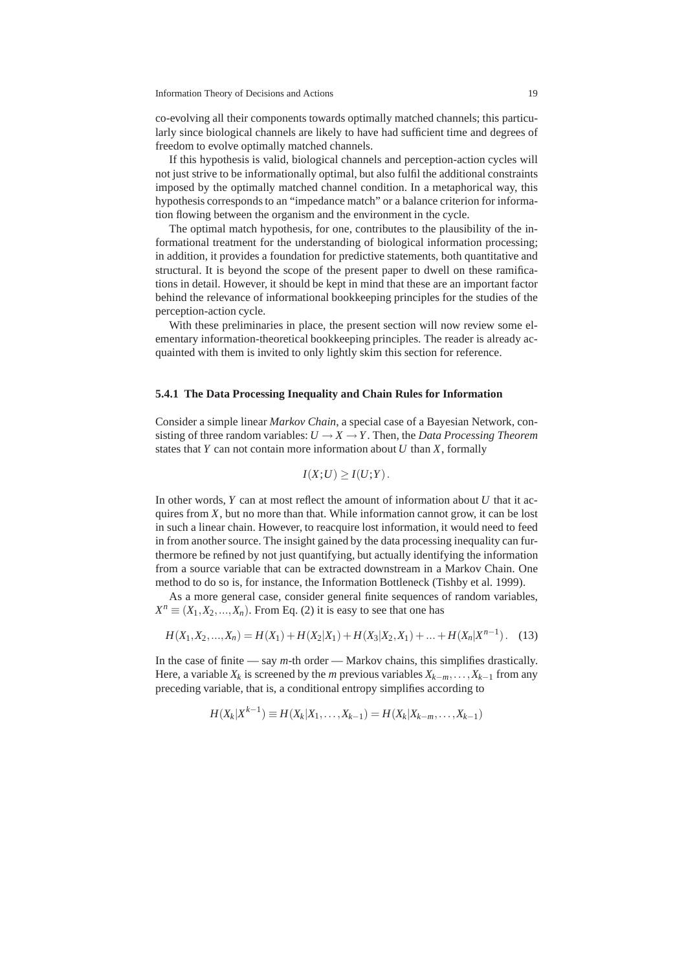co-evolving all their components towards optimally matched channels; this particularly since biological channels are likely to have had sufficient time and degrees of freedom to evolve optimally matched channels.

If this hypothesis is valid, biological channels and perception-action cycles will not just strive to be informationally optimal, but also fulfil the additional constraints imposed by the optimally matched channel condition. In a metaphorical way, this hypothesis corresponds to an "impedance match" or a balance criterion for information flowing between the organism and the environment in the cycle.

The optimal match hypothesis, for one, contributes to the plausibility of the informational treatment for the understanding of biological information processing; in addition, it provides a foundation for predictive statements, both quantitative and structural. It is beyond the scope of the present paper to dwell on these ramifications in detail. However, it should be kept in mind that these are an important factor behind the relevance of informational bookkeeping principles for the studies of the perception-action cycle.

With these preliminaries in place, the present section will now review some elementary information-theoretical bookkeeping principles. The reader is already acquainted with them is invited to only lightly skim this section for reference.

#### **5.4.1 The Data Processing Inequality and Chain Rules for Information**

Consider a simple linear *Markov Chain*, a special case of a Bayesian Network, consisting of three random variables:  $U \rightarrow X \rightarrow Y$ . Then, the *Data Processing Theorem* states that *Y* can not contain more information about *U* than *X*, formally

$$
I(X;U) \geq I(U;Y).
$$

In other words,  $Y$  can at most reflect the amount of information about  $U$  that it acquires from *X*, but no more than that. While information cannot grow, it can be lost in such a linear chain. However, to reacquire lost information, it would need to feed in from another source. The insight gained by the data processing inequality can furthermore be refined by not just quantifying, but actually identifying the information from a source variable that can be extracted downstream in a Markov Chain. One method to do so is, for instance, the Information Bottleneck (Tishby et al. 1999).

As a more general case, consider general finite sequences of random variables,  $X^n \equiv (X_1, X_2, \ldots, X_n)$ . From Eq. (2) it is easy to see that one has

$$
H(X_1, X_2, ..., X_n) = H(X_1) + H(X_2|X_1) + H(X_3|X_2, X_1) + ... + H(X_n|X^{n-1}).
$$
 (13)

In the case of finite — say *m*-th order — Markov chains, this simplifies drastically. Here, a variable  $X_k$  is screened by the *m* previous variables  $X_{k-m}, \ldots, X_{k-1}$  from any preceding variable, that is, a conditional entropy simplifies according to

$$
H(X_k|X^{k-1}) \equiv H(X_k|X_1,\ldots,X_{k-1}) = H(X_k|X_{k-m},\ldots,X_{k-1})
$$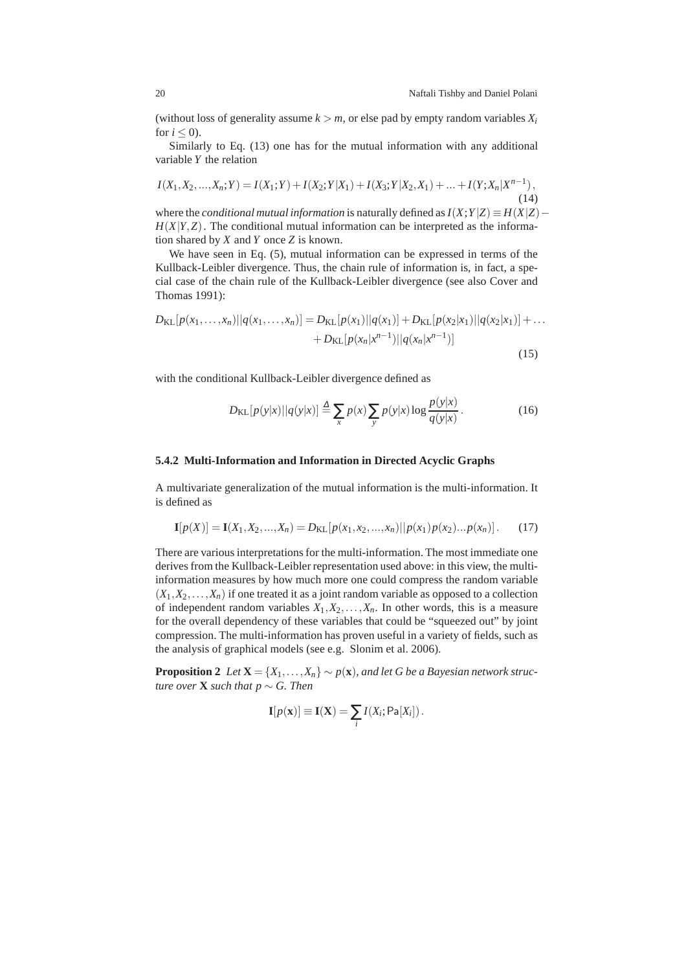(without loss of generality assume  $k > m$ , or else pad by empty random variables  $X_i$ for  $i \leq 0$ ).

Similarly to Eq. (13) one has for the mutual information with any additional variable *Y* the relation

$$
I(X_1, X_2, ..., X_n; Y) = I(X_1; Y) + I(X_2; Y|X_1) + I(X_3; Y|X_2, X_1) + ... + I(Y; X_n|X^{n-1}),
$$
\n(14)

where the *conditional mutual information* is naturally defined as  $I(X;Y|Z) \equiv H(X|Z) - I(Y|Z)$  $H(X|Y,Z)$ . The conditional mutual information can be interpreted as the information shared by *X* and *Y* once *Z* is known.

We have seen in Eq. (5), mutual information can be expressed in terms of the Kullback-Leibler divergence. Thus, the chain rule of information is, in fact, a special case of the chain rule of the Kullback-Leibler divergence (see also Cover and Thomas 1991):

$$
D_{\text{KL}}[p(x_1,...,x_n)||q(x_1,...,x_n)] = D_{\text{KL}}[p(x_1)||q(x_1)] + D_{\text{KL}}[p(x_2|x_1)||q(x_2|x_1)] + ... + D_{\text{KL}}[p(x_n|x^{n-1})||q(x_n|x^{n-1})]
$$
\n(15)

with the conditional Kullback-Leibler divergence defined as

$$
D_{\text{KL}}[p(y|x)||q(y|x)] \stackrel{\Delta}{=} \sum_{x} p(x) \sum_{y} p(y|x) \log \frac{p(y|x)}{q(y|x)}.
$$
 (16)

#### **5.4.2 Multi-Information and Information in Directed Acyclic Graphs**

A multivariate generalization of the mutual information is the multi-information. It is defined as

$$
\mathbf{I}[p(X)] = \mathbf{I}(X_1, X_2, ..., X_n) = D_{\mathrm{KL}}[p(x_1, x_2, ..., x_n)||p(x_1)p(x_2)...p(x_n)]. \tag{17}
$$

There are various interpretations for the multi-information. The most immediate one derives from the Kullback-Leibler representation used above: in this view, the multiinformation measures by how much more one could compress the random variable  $(X_1, X_2, \ldots, X_n)$  if one treated it as a joint random variable as opposed to a collection of independent random variables  $X_1, X_2, \ldots, X_n$ . In other words, this is a measure for the overall dependency of these variables that could be "squeezed out" by joint compression. The multi-information has proven useful in a variety of fields, such as the analysis of graphical models (see e.g. Slonim et al. 2006).

**Proposition 2** *Let*  $X = \{X_1, \ldots, X_n\} \sim p(x)$ *, and let G be a Bayesian network structure over* **X** *such that*  $p \sim G$ *. Then* 

$$
\mathbf{I}[p(\mathbf{x})] \equiv \mathbf{I}(\mathbf{X}) = \sum_i I(X_i; \mathsf{Pa}[X_i]).
$$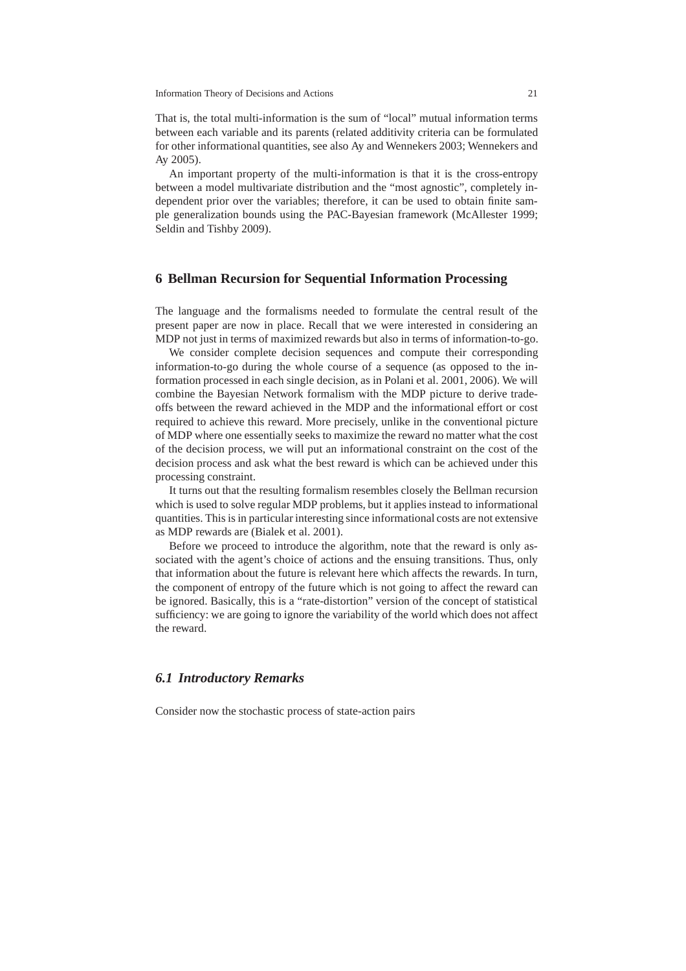That is, the total multi-information is the sum of "local" mutual information terms between each variable and its parents (related additivity criteria can be formulated for other informational quantities, see also Ay and Wennekers 2003; Wennekers and Ay 2005).

An important property of the multi-information is that it is the cross-entropy between a model multivariate distribution and the "most agnostic", completely independent prior over the variables; therefore, it can be used to obtain finite sample generalization bounds using the PAC-Bayesian framework (McAllester 1999; Seldin and Tishby 2009).

## **6 Bellman Recursion for Sequential Information Processing**

The language and the formalisms needed to formulate the central result of the present paper are now in place. Recall that we were interested in considering an MDP not just in terms of maximized rewards but also in terms of information-to-go.

We consider complete decision sequences and compute their corresponding information-to-go during the whole course of a sequence (as opposed to the information processed in each single decision, as in Polani et al. 2001, 2006). We will combine the Bayesian Network formalism with the MDP picture to derive tradeoffs between the reward achieved in the MDP and the informational effort or cost required to achieve this reward. More precisely, unlike in the conventional picture of MDP where one essentially seeks to maximize the reward no matter what the cost of the decision process, we will put an informational constraint on the cost of the decision process and ask what the best reward is which can be achieved under this processing constraint.

It turns out that the resulting formalism resembles closely the Bellman recursion which is used to solve regular MDP problems, but it applies instead to informational quantities. This is in particular interesting since informational costs are not extensive as MDP rewards are (Bialek et al. 2001).

Before we proceed to introduce the algorithm, note that the reward is only associated with the agent's choice of actions and the ensuing transitions. Thus, only that information about the future is relevant here which affects the rewards. In turn, the component of entropy of the future which is not going to affect the reward can be ignored. Basically, this is a "rate-distortion" version of the concept of statistical sufficiency: we are going to ignore the variability of the world which does not affect the reward.

## *6.1 Introductory Remarks*

Consider now the stochastic process of state-action pairs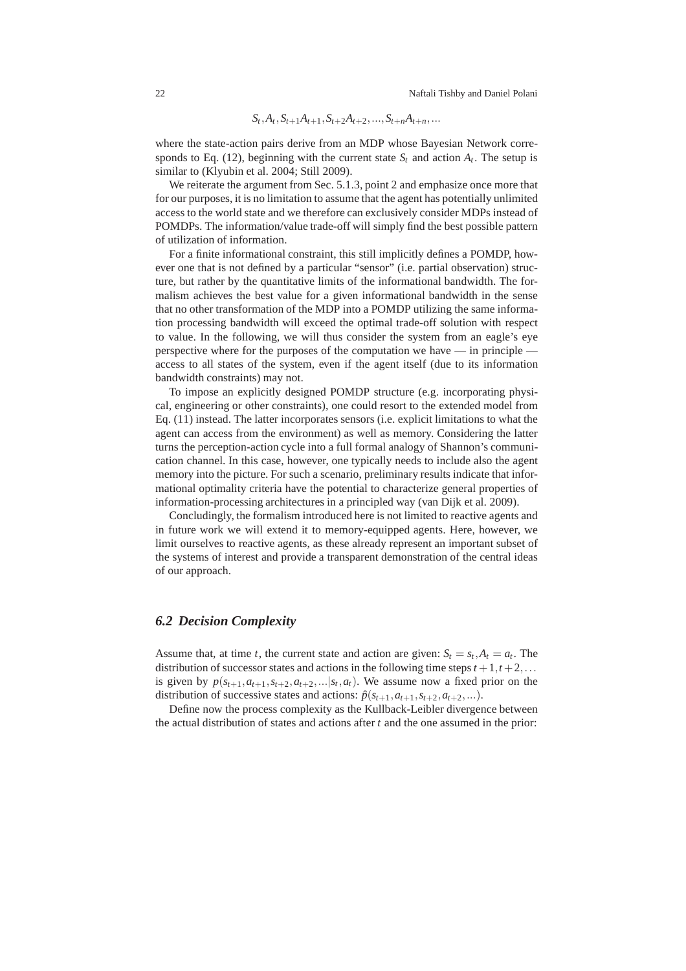$$
S_t, A_t, S_{t+1}A_{t+1}, S_{t+2}A_{t+2},..., S_{t+n}A_{t+n},...
$$

where the state-action pairs derive from an MDP whose Bayesian Network corresponds to Eq. (12), beginning with the current state  $S_t$  and action  $A_t$ . The setup is similar to (Klyubin et al. 2004; Still 2009).

We reiterate the argument from Sec. 5.1.3, point 2 and emphasize once more that for our purposes, it is no limitation to assume that the agent has potentially unlimited access to the world state and we therefore can exclusively consider MDPs instead of POMDPs. The information/value trade-off will simply find the best possible pattern of utilization of information.

For a finite informational constraint, this still implicitly defines a POMDP, however one that is not defined by a particular "sensor" (i.e. partial observation) structure, but rather by the quantitative limits of the informational bandwidth. The formalism achieves the best value for a given informational bandwidth in the sense that no other transformation of the MDP into a POMDP utilizing the same information processing bandwidth will exceed the optimal trade-off solution with respect to value. In the following, we will thus consider the system from an eagle's eye perspective where for the purposes of the computation we have — in principle access to all states of the system, even if the agent itself (due to its information bandwidth constraints) may not.

To impose an explicitly designed POMDP structure (e.g. incorporating physical, engineering or other constraints), one could resort to the extended model from Eq. (11) instead. The latter incorporates sensors (i.e. explicit limitations to what the agent can access from the environment) as well as memory. Considering the latter turns the perception-action cycle into a full formal analogy of Shannon's communication channel. In this case, however, one typically needs to include also the agent memory into the picture. For such a scenario, preliminary results indicate that informational optimality criteria have the potential to characterize general properties of information-processing architectures in a principled way (van Dijk et al. 2009).

Concludingly, the formalism introduced here is not limited to reactive agents and in future work we will extend it to memory-equipped agents. Here, however, we limit ourselves to reactive agents, as these already represent an important subset of the systems of interest and provide a transparent demonstration of the central ideas of our approach.

## *6.2 Decision Complexity*

Assume that, at time *t*, the current state and action are given:  $S_t = s_t, A_t = a_t$ . The distribution of successor states and actions in the following time steps  $t + 1, t + 2, \ldots$ is given by  $p(s_{t+1}, a_{t+1}, s_{t+2}, a_{t+2}, \ldots | s_t, a_t)$ . We assume now a fixed prior on the distribution of successive states and actions:  $\hat{p}(s_{t+1}, a_{t+1}, s_{t+2}, a_{t+2}, \dots)$ .

Define now the process complexity as the Kullback-Leibler divergence between the actual distribution of states and actions after *t* and the one assumed in the prior: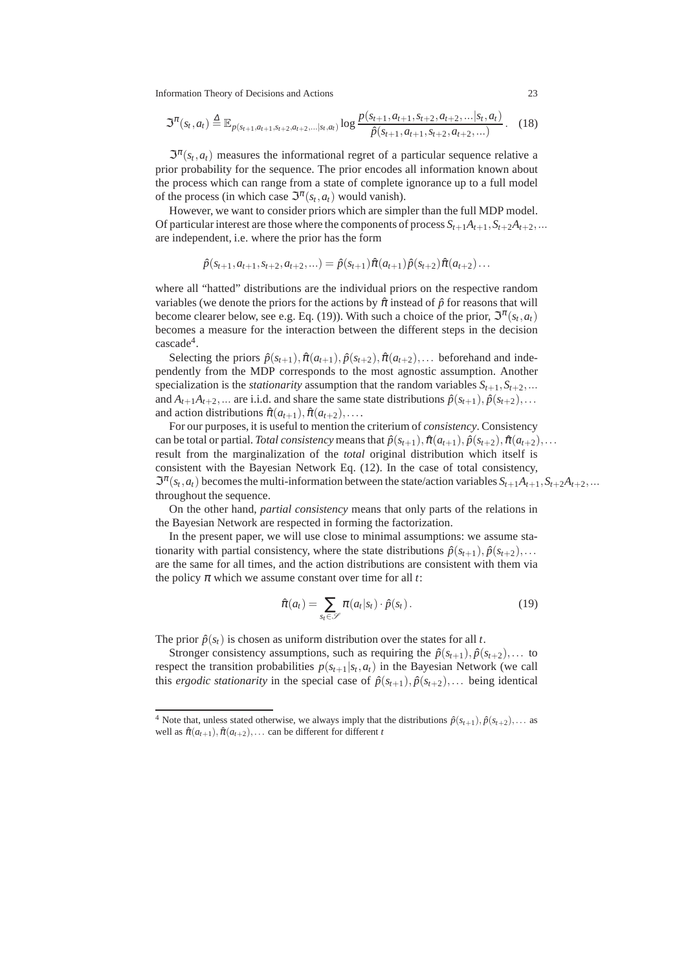$$
\mathfrak{S}^{\pi}(s_t, a_t) \stackrel{\Delta}{=} \mathbb{E}_{p(s_{t+1}, a_{t+1}, s_{t+2}, a_{t+2}, \ldots | s_t, a_t)} \log \frac{p(s_{t+1}, a_{t+1}, s_{t+2}, a_{t+2}, \ldots | s_t, a_t)}{\hat{p}(s_{t+1}, a_{t+1}, s_{t+2}, a_{t+2}, \ldots)}.
$$
 (18)

 $\mathfrak{S}^{\pi}(s_t, a_t)$  measures the informational regret of a particular sequence relative a prior probability for the sequence. The prior encodes all information known about the process which can range from a state of complete ignorance up to a full model of the process (in which case  $\mathfrak{S}^{\pi}(s_t, a_t)$  would vanish).

However, we want to consider priors which are simpler than the full MDP model. Of particular interest are those where the components of process  $S_{t+1}A_{t+1}, S_{t+2}A_{t+2}, \ldots$ are independent, i.e. where the prior has the form

$$
\hat{p}(s_{t+1}, a_{t+1}, s_{t+2}, a_{t+2}, \ldots) = \hat{p}(s_{t+1})\hat{\pi}(a_{t+1})\hat{p}(s_{t+2})\hat{\pi}(a_{t+2})\ldots
$$

where all "hatted" distributions are the individual priors on the respective random variables (we denote the priors for the actions by  $\hat{\pi}$  instead of  $\hat{p}$  for reasons that will become clearer below, see e.g. Eq. (19)). With such a choice of the prior,  $\mathfrak{I}^{\pi}(s_t, a_t)$ becomes a measure for the interaction between the different steps in the decision cascade<sup>4</sup>.

Selecting the priors  $\hat{p}(s_{t+1}), \hat{\pi}(a_{t+1}), \hat{p}(s_{t+2}), \hat{\pi}(a_{t+2}), \dots$  beforehand and independently from the MDP corresponds to the most agnostic assumption. Another specialization is the *stationarity* assumption that the random variables  $S_{t+1}, S_{t+2},...$ and  $A_{t+1}A_{t+2}$ ,... are i.i.d. and share the same state distributions  $\hat{p}(s_{t+1}), \hat{p}(s_{t+2}),...$ and action distributions  $\hat{\pi}(a_{t+1}), \hat{\pi}(a_{t+2}),...$ 

For our purposes, it is useful to mention the criterium of *consistency*. Consistency can be total or partial. *Total consistency* means that  $\hat{p}(s_{t+1}), \hat{\pi}(a_{t+1}), \hat{p}(s_{t+2}), \hat{\pi}(a_{t+2}),\ldots$ result from the marginalization of the *total* original distribution which itself is consistent with the Bayesian Network Eq. (12). In the case of total consistency,  $\mathfrak{S}^{\pi}(s_t, a_t)$  becomes the multi-information between the state/action variables  $S_{t+1}A_{t+1}, S_{t+2}A_{t+2}, ...$ throughout the sequence.

On the other hand, *partial consistency* means that only parts of the relations in the Bayesian Network are respected in forming the factorization.

In the present paper, we will use close to minimal assumptions: we assume stationarity with partial consistency, where the state distributions  $\hat{p}(s_{t+1}), \hat{p}(s_{t+2}),\ldots$ are the same for all times, and the action distributions are consistent with them via the policy  $\pi$  which we assume constant over time for all *t*:

$$
\hat{\pi}(a_t) = \sum_{s_t \in \mathscr{S}} \pi(a_t|s_t) \cdot \hat{p}(s_t).
$$
\n(19)

The prior  $\hat{p}(s_t)$  is chosen as uniform distribution over the states for all *t*.

Stronger consistency assumptions, such as requiring the  $\hat{p}(s_{t+1}), \hat{p}(s_{t+2}),...$  to respect the transition probabilities  $p(s_{t+1}|s_t, a_t)$  in the Bayesian Network (we call this *ergodic stationarity* in the special case of  $\hat{p}(s_{t+1}), \hat{p}(s_{t+2}),\dots$  being identical

<sup>&</sup>lt;sup>4</sup> Note that, unless stated otherwise, we always imply that the distributions  $\hat{p}(s_{t+1}), \hat{p}(s_{t+2}),...$  as well as  $\hat{\pi}(a_{t+1}), \hat{\pi}(a_{t+2}), \dots$  can be different for different *t*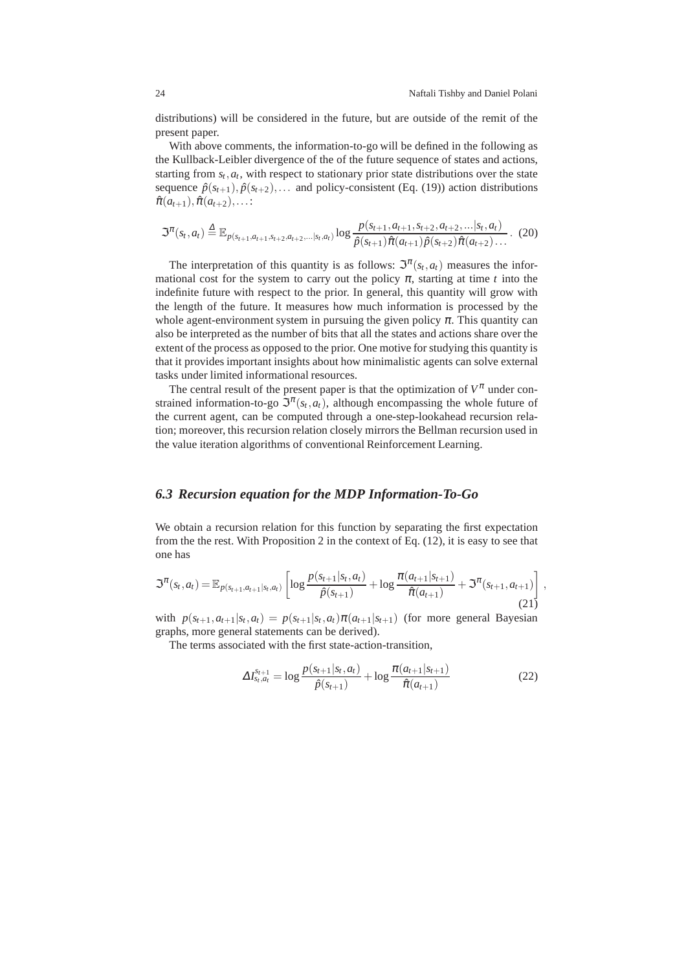,

distributions) will be considered in the future, but are outside of the remit of the present paper.

With above comments, the information-to-go will be defined in the following as the Kullback-Leibler divergence of the of the future sequence of states and actions, starting from  $s_t$ ,  $a_t$ , with respect to stationary prior state distributions over the state sequence  $\hat{p}(s_{t+1}), \hat{p}(s_{t+2}),...$  and policy-consistent (Eq. (19)) action distributions  $\hat{\pi}(a_{t+1}), \hat{\pi}(a_{t+2}), \ldots$ 

$$
\mathfrak{S}^{\pi}(s_t, a_t) \stackrel{\Delta}{=} \mathbb{E}_{p(s_{t+1}, a_{t+1}, s_{t+2}, a_{t+2}, \dots | s_t, a_t)} \log \frac{p(s_{t+1}, a_{t+1}, s_{t+2}, a_{t+2}, \dots | s_t, a_t)}{\hat{p}(s_{t+1}) \hat{\pi}(a_{t+1}) \hat{p}(s_{t+2}) \hat{\pi}(a_{t+2}) \dots}.
$$
(20)

The interpretation of this quantity is as follows:  $\mathfrak{I}^{\pi}(s_t, a_t)$  measures the informational cost for the system to carry out the policy  $\pi$ , starting at time *t* into the indefinite future with respect to the prior. In general, this quantity will grow with the length of the future. It measures how much information is processed by the whole agent-environment system in pursuing the given policy  $\pi$ . This quantity can also be interpreted as the number of bits that all the states and actions share over the extent of the process as opposed to the prior. One motive for studying this quantity is that it provides important insights about how minimalistic agents can solve external tasks under limited informational resources.

The central result of the present paper is that the optimization of  $V^{\pi}$  under constrained information-to-go  $\mathfrak{S}^{\pi}(s_t, a_t)$ , although encompassing the whole future of the current agent, can be computed through a one-step-lookahead recursion relation; moreover, this recursion relation closely mirrors the Bellman recursion used in the value iteration algorithms of conventional Reinforcement Learning.

## *6.3 Recursion equation for the MDP Information-To-Go*

We obtain a recursion relation for this function by separating the first expectation from the the rest. With Proposition 2 in the context of Eq. (12), it is easy to see that one has

$$
\mathfrak{I}^{\pi}(s_t, a_t) = \mathbb{E}_{p(s_{t+1}, a_{t+1}|s_t, a_t)} \left[ \log \frac{p(s_{t+1}|s_t, a_t)}{\hat{p}(s_{t+1})} + \log \frac{\pi(a_{t+1}|s_{t+1})}{\hat{\pi}(a_{t+1})} + \mathfrak{I}^{\pi}(s_{t+1}, a_{t+1}) \right]
$$
(21)

with  $p(s_{t+1}, a_{t+1}|s_t, a_t) = p(s_{t+1}|s_t, a_t) \pi(a_{t+1}|s_{t+1})$  (for more general Bayesian graphs, more general statements can be derived).

The terms associated with the first state-action-transition,

$$
\Delta I_{s_t, a_t}^{s_{t+1}} = \log \frac{p(s_{t+1}|s_t, a_t)}{\hat{p}(s_{t+1})} + \log \frac{\pi(a_{t+1}|s_{t+1})}{\hat{\pi}(a_{t+1})}
$$
(22)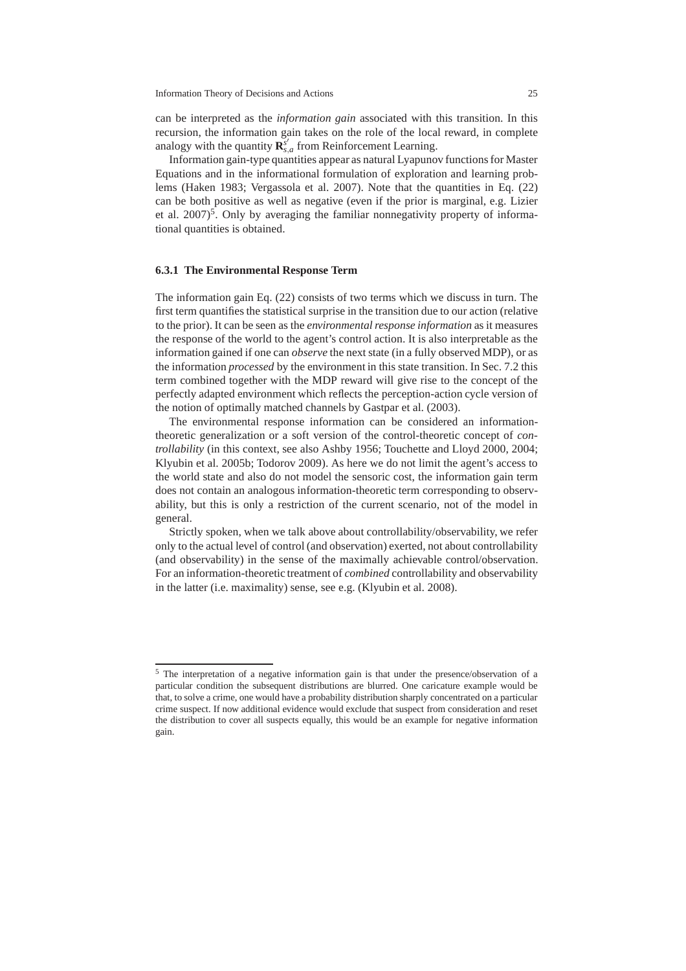can be interpreted as the *information gain* associated with this transition. In this recursion, the information gain takes on the role of the local reward, in complete analogy with the quantity  $\mathbf{R}_{s,a}^{\mathcal{S}'}$  from Reinforcement Learning.

Information gain-type quantities appear as natural Lyapunov functions for Master Equations and in the informational formulation of exploration and learning problems (Haken 1983; Vergassola et al. 2007). Note that the quantities in Eq. (22) can be both positive as well as negative (even if the prior is marginal, e.g. Lizier et al.  $2007$ <sup>5</sup>. Only by averaging the familiar nonnegativity property of informational quantities is obtained.

#### **6.3.1 The Environmental Response Term**

The information gain Eq. (22) consists of two terms which we discuss in turn. The first term quantifies the statistical surprise in the transition due to our action (relative to the prior). It can be seen as the *environmental response information* as it measures the response of the world to the agent's control action. It is also interpretable as the information gained if one can *observe* the next state (in a fully observed MDP), or as the information *processed* by the environment in this state transition. In Sec. 7.2 this term combined together with the MDP reward will give rise to the concept of the perfectly adapted environment which reflects the perception-action cycle version of the notion of optimally matched channels by Gastpar et al. (2003).

The environmental response information can be considered an informationtheoretic generalization or a soft version of the control-theoretic concept of *controllability* (in this context, see also Ashby 1956; Touchette and Lloyd 2000, 2004; Klyubin et al. 2005b; Todorov 2009). As here we do not limit the agent's access to the world state and also do not model the sensoric cost, the information gain term does not contain an analogous information-theoretic term corresponding to observability, but this is only a restriction of the current scenario, not of the model in general.

Strictly spoken, when we talk above about controllability/observability, we refer only to the actual level of control (and observation) exerted, not about controllability (and observability) in the sense of the maximally achievable control/observation. For an information-theoretic treatment of *combined* controllability and observability in the latter (i.e. maximality) sense, see e.g. (Klyubin et al. 2008).

<sup>5</sup> The interpretation of a negative information gain is that under the presence/observation of a particular condition the subsequent distributions are blurred. One caricature example would be that, to solve a crime, one would have a probability distribution sharply concentrated on a particular crime suspect. If now additional evidence would exclude that suspect from consideration and reset the distribution to cover all suspects equally, this would be an example for negative information gain.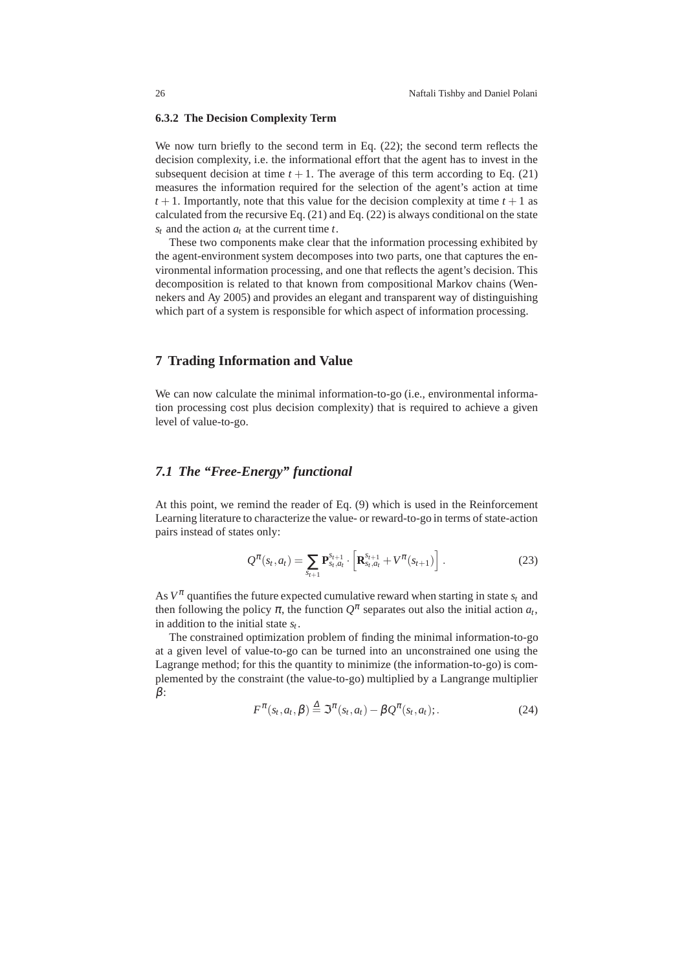#### **6.3.2 The Decision Complexity Term**

We now turn briefly to the second term in Eq. (22); the second term reflects the decision complexity, i.e. the informational effort that the agent has to invest in the subsequent decision at time  $t + 1$ . The average of this term according to Eq. (21) measures the information required for the selection of the agent's action at time  $t + 1$ . Importantly, note that this value for the decision complexity at time  $t + 1$  as calculated from the recursive Eq. (21) and Eq. (22) is always conditional on the state  $s_t$  and the action  $a_t$  at the current time *t*.

These two components make clear that the information processing exhibited by the agent-environment system decomposes into two parts, one that captures the environmental information processing, and one that reflects the agent's decision. This decomposition is related to that known from compositional Markov chains (Wennekers and Ay 2005) and provides an elegant and transparent way of distinguishing which part of a system is responsible for which aspect of information processing.

## **7 Trading Information and Value**

We can now calculate the minimal information-to-go (i.e., environmental information processing cost plus decision complexity) that is required to achieve a given level of value-to-go.

## *7.1 The "Free-Energy" functional*

At this point, we remind the reader of Eq. (9) which is used in the Reinforcement Learning literature to characterize the value- or reward-to-go in terms of state-action pairs instead of states only:

$$
Q^{\pi}(s_t, a_t) = \sum_{s_{t+1}} \mathbf{P}_{s_t, a_t}^{s_{t+1}} \cdot \left[ \mathbf{R}_{s_t, a_t}^{s_{t+1}} + V^{\pi}(s_{t+1}) \right]. \tag{23}
$$

As  $V^{\pi}$  quantifies the future expected cumulative reward when starting in state  $s_t$  and then following the policy  $\pi$ , the function  $Q^{\pi}$  separates out also the initial action  $a_t$ , in addition to the initial state *s<sup>t</sup>* .

The constrained optimization problem of finding the minimal information-to-go at a given level of value-to-go can be turned into an unconstrained one using the Lagrange method; for this the quantity to minimize (the information-to-go) is complemented by the constraint (the value-to-go) multiplied by a Langrange multiplier β:

$$
F^{\pi}(s_t, a_t, \beta) \stackrel{\Delta}{=} \mathfrak{S}^{\pi}(s_t, a_t) - \beta Q^{\pi}(s_t, a_t); \qquad (24)
$$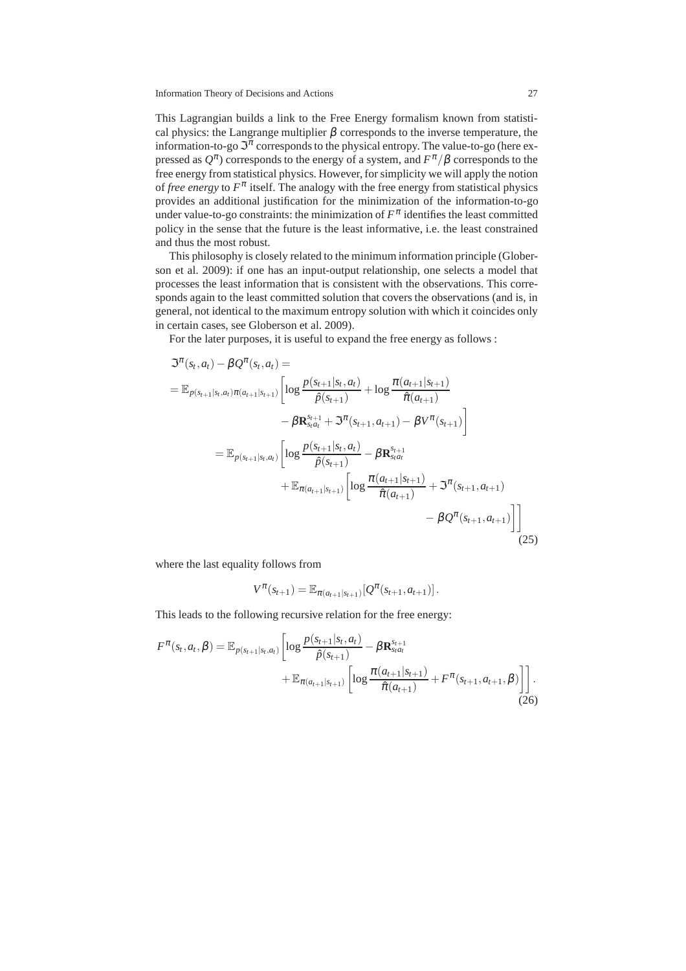This Lagrangian builds a link to the Free Energy formalism known from statistical physics: the Langrange multiplier  $\beta$  corresponds to the inverse temperature, the information-to-go  $\Im^{\pi}$  corresponds to the physical entropy. The value-to-go (here expressed as *Q* π ) corresponds to the energy of a system, and *F* <sup>π</sup> /β corresponds to the free energy from statistical physics. However, for simplicity we will apply the notion of *free energy* to  $F^{\pi}$  itself. The analogy with the free energy from statistical physics provides an additional justification for the minimization of the information-to-go under value-to-go constraints: the minimization of  $F^{\pi}$  identifies the least committed policy in the sense that the future is the least informative, i.e. the least constrained and thus the most robust.

This philosophy is closely related to the minimum information principle (Globerson et al. 2009): if one has an input-output relationship, one selects a model that processes the least information that is consistent with the observations. This corresponds again to the least committed solution that covers the observations (and is, in general, not identical to the maximum entropy solution with which it coincides only in certain cases, see Globerson et al. 2009).

For the later purposes, it is useful to expand the free energy as follows :

$$
\mathfrak{I}^{\pi}(s_{t}, a_{t}) - \beta \mathcal{Q}^{\pi}(s_{t}, a_{t}) =
$$
\n
$$
= \mathbb{E}_{p(s_{t+1}|s_{t}, a_{t})\pi(a_{t+1}|s_{t+1})} \left[ \log \frac{p(s_{t+1}|s_{t}, a_{t})}{\hat{p}(s_{t+1})} + \log \frac{\pi(a_{t+1}|s_{t+1})}{\hat{\pi}(a_{t+1})} - \beta \mathbf{R}_{s_{t}a_{t}}^{s_{t+1}} + \mathfrak{I}^{\pi}(s_{t+1}, a_{t+1}) - \beta V^{\pi}(s_{t+1}) \right]
$$
\n
$$
= \mathbb{E}_{p(s_{t+1}|s_{t}, a_{t})} \left[ \log \frac{p(s_{t+1}|s_{t}, a_{t})}{\hat{p}(s_{t+1})} - \beta \mathbf{R}_{s_{t}a_{t}}^{s_{t+1}} + \mathbb{E}_{\pi(a_{t+1}|s_{t+1})} \left[ \log \frac{\pi(a_{t+1}|s_{t+1})}{\hat{\pi}(a_{t+1})} + \mathfrak{I}^{\pi}(s_{t+1}, a_{t+1}) \right] - \beta \mathcal{Q}^{\pi}(s_{t+1}, a_{t+1}) \right]
$$
\n(25)

where the last equality follows from

$$
V^{\pi}(s_{t+1}) = \mathbb{E}_{\pi(a_{t+1}|s_{t+1})}[Q^{\pi}(s_{t+1}, a_{t+1})].
$$

This leads to the following recursive relation for the free energy:

$$
F^{\pi}(s_t, a_t, \beta) = \mathbb{E}_{p(s_{t+1}|s_t, a_t)} \left[ \log \frac{p(s_{t+1}|s_t, a_t)}{\hat{p}(s_{t+1})} - \beta \mathbf{R}_{s_t a_t}^{s_{t+1}} + \mathbb{E}_{\pi(a_{t+1}|s_{t+1})} \left[ \log \frac{\pi(a_{t+1}|s_{t+1})}{\hat{\pi}(a_{t+1})} + F^{\pi}(s_{t+1}, a_{t+1}, \beta) \right] \right].
$$
\n(26)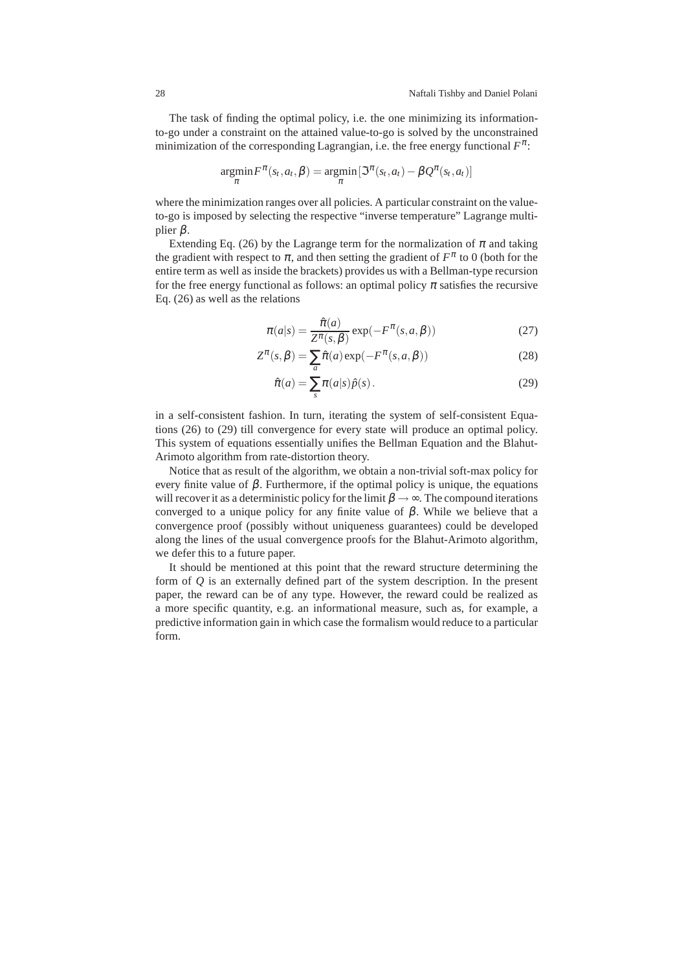The task of finding the optimal policy, i.e. the one minimizing its informationto-go under a constraint on the attained value-to-go is solved by the unconstrained minimization of the corresponding Lagrangian, i.e. the free energy functional *F* π :

$$
\underset{\pi}{\operatorname{argmin}} F^{\pi}(s_t, a_t, \beta) = \underset{\pi}{\operatorname{argmin}} \left[ \mathfrak{I}^{\pi}(s_t, a_t) - \beta \mathcal{Q}^{\pi}(s_t, a_t) \right]
$$

where the minimization ranges over all policies. A particular constraint on the valueto-go is imposed by selecting the respective "inverse temperature" Lagrange multiplier β.

Extending Eq. (26) by the Lagrange term for the normalization of  $\pi$  and taking the gradient with respect to  $\pi$ , and then setting the gradient of  $F^{\pi}$  to 0 (both for the entire term as well as inside the brackets) provides us with a Bellman-type recursion for the free energy functional as follows: an optimal policy  $\pi$  satisfies the recursive Eq. (26) as well as the relations

$$
\pi(a|s) = \frac{\hat{\pi}(a)}{Z^{\pi}(s,\beta)} \exp(-F^{\pi}(s,a,\beta))
$$
\n(27)

$$
Z^{\pi}(s,\beta) = \sum_{a} \hat{\pi}(a) \exp(-F^{\pi}(s,a,\beta))
$$
 (28)

$$
\hat{\pi}(a) = \sum_{s} \pi(a|s)\hat{p}(s).
$$
\n(29)

in a self-consistent fashion. In turn, iterating the system of self-consistent Equations (26) to (29) till convergence for every state will produce an optimal policy. This system of equations essentially unifies the Bellman Equation and the Blahut-Arimoto algorithm from rate-distortion theory.

Notice that as result of the algorithm, we obtain a non-trivial soft-max policy for every finite value of  $\beta$ . Furthermore, if the optimal policy is unique, the equations will recover it as a deterministic policy for the limit  $\beta \rightarrow \infty$ . The compound iterations converged to a unique policy for any finite value of β. While we believe that a convergence proof (possibly without uniqueness guarantees) could be developed along the lines of the usual convergence proofs for the Blahut-Arimoto algorithm, we defer this to a future paper.

It should be mentioned at this point that the reward structure determining the form of *Q* is an externally defined part of the system description. In the present paper, the reward can be of any type. However, the reward could be realized as a more specific quantity, e.g. an informational measure, such as, for example, a predictive information gain in which case the formalism would reduce to a particular form.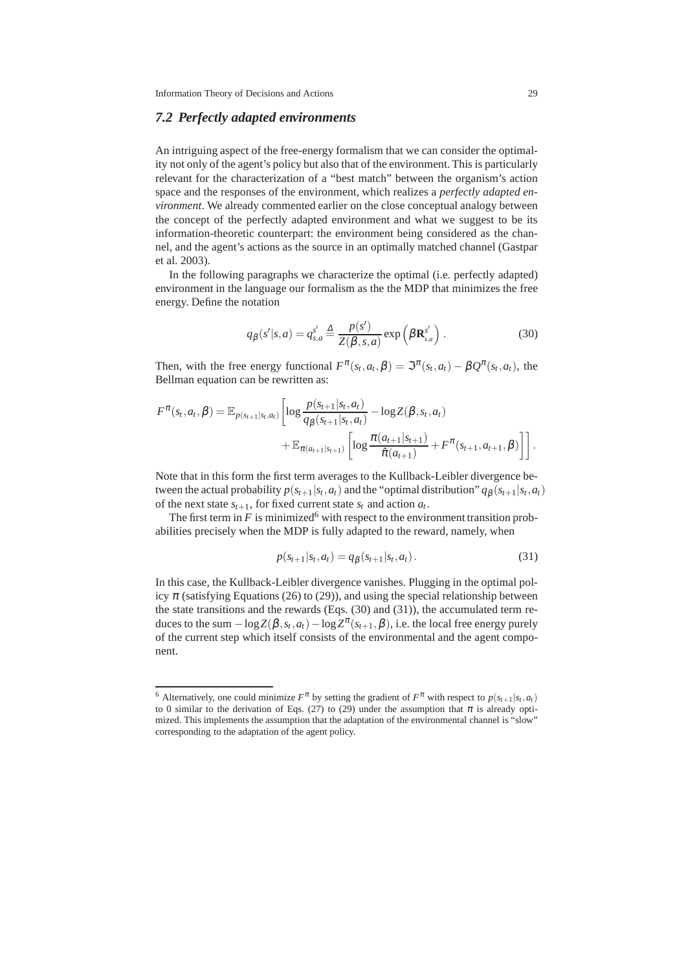## *7.2 Perfectly adapted environments*

An intriguing aspect of the free-energy formalism that we can consider the optimality not only of the agent's policy but also that of the environment. This is particularly relevant for the characterization of a "best match" between the organism's action space and the responses of the environment, which realizes a *perfectly adapted environment*. We already commented earlier on the close conceptual analogy between the concept of the perfectly adapted environment and what we suggest to be its information-theoretic counterpart: the environment being considered as the channel, and the agent's actions as the source in an optimally matched channel (Gastpar et al. 2003).

In the following paragraphs we characterize the optimal (i.e. perfectly adapted) environment in the language our formalism as the the MDP that minimizes the free energy. Define the notation

$$
q_{\beta}(s'|s,a) = q_{s,a}^{s'} \stackrel{\Delta}{=} \frac{p(s')}{Z(\beta,s,a)} \exp\left(\beta \mathbf{R}_{s,a}^{s'}\right). \tag{30}
$$

Then, with the free energy functional  $F^{\pi}(s_t, a_t, \beta) = \Im^{\pi}(s_t, a_t) - \beta Q^{\pi}(s_t, a_t)$ , the Bellman equation can be rewritten as:

$$
F^{\pi}(s_t, a_t, \beta) = \mathbb{E}_{p(s_{t+1}|s_t, a_t)} \left[ \log \frac{p(s_{t+1}|s_t, a_t)}{q_{\beta}(s_{t+1}|s_t, a_t)} - \log Z(\beta, s_t, a_t) + \mathbb{E}_{\pi(a_{t+1}|s_{t+1})} \left[ \log \frac{\pi(a_{t+1}|s_{t+1})}{\hat{\pi}(a_{t+1})} + F^{\pi}(s_{t+1}, a_{t+1}, \beta) \right] \right].
$$

Note that in this form the first term averages to the Kullback-Leibler divergence between the actual probability  $p(s_{t+1}|s_t, a_t)$  and the "optimal distribution"  $q_\beta(s_{t+1}|s_t, a_t)$ of the next state  $s_{t+1}$ , for fixed current state  $s_t$  and action  $a_t$ .

The first term in  $F$  is minimized<sup>6</sup> with respect to the environment transition probabilities precisely when the MDP is fully adapted to the reward, namely, when

$$
p(s_{t+1}|s_t, a_t) = q_\beta(s_{t+1}|s_t, a_t).
$$
\n(31)

In this case, the Kullback-Leibler divergence vanishes. Plugging in the optimal policy  $\pi$  (satisfying Equations (26) to (29)), and using the special relationship between the state transitions and the rewards (Eqs. (30) and (31)), the accumulated term reduces to the sum  $-\log Z(\beta, s_t, a_t) - \log Z^{\pi}(s_{t+1}, \beta)$ , i.e. the local free energy purely of the current step which itself consists of the environmental and the agent component.

<sup>&</sup>lt;sup>6</sup> Alternatively, one could minimize  $F^{\pi}$  by setting the gradient of  $F^{\pi}$  with respect to  $p(s_{t+1}|s_t, a_t)$ to 0 similar to the derivation of Eqs. (27) to (29) under the assumption that  $\pi$  is already optimized. This implements the assumption that the adaptation of the environmental channel is "slow" corresponding to the adaptation of the agent policy.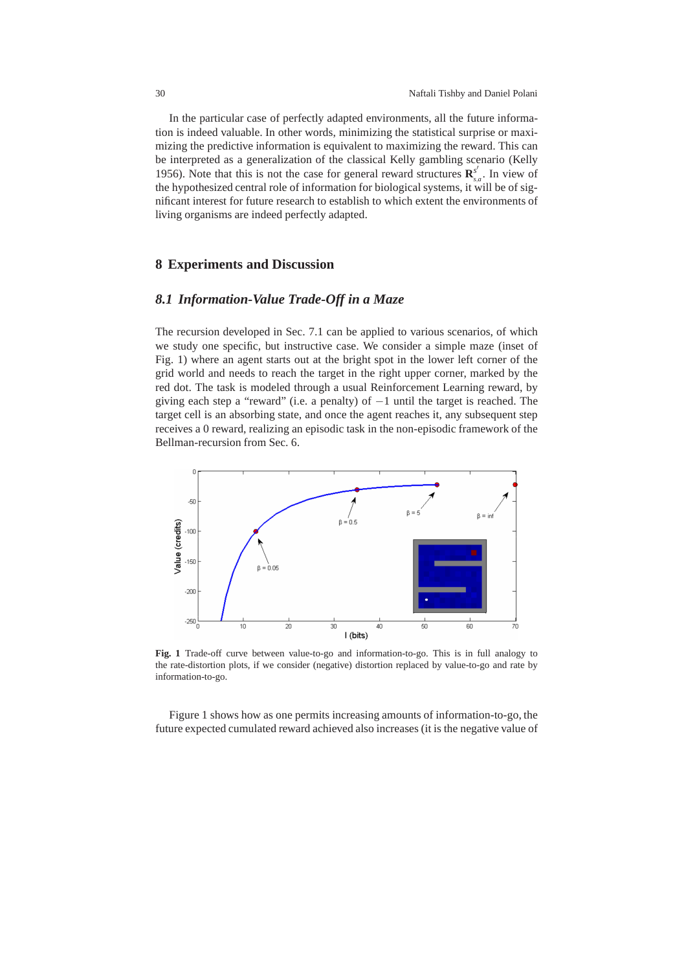In the particular case of perfectly adapted environments, all the future information is indeed valuable. In other words, minimizing the statistical surprise or maximizing the predictive information is equivalent to maximizing the reward. This can be interpreted as a generalization of the classical Kelly gambling scenario (Kelly 1956). Note that this is not the case for general reward structures  $\mathbf{R}^{s'}$ *s*,*a* . In view of the hypothesized central role of information for biological systems, it will be of significant interest for future research to establish to which extent the environments of living organisms are indeed perfectly adapted.

## **8 Experiments and Discussion**

## *8.1 Information-Value Trade-Off in a Maze*

The recursion developed in Sec. 7.1 can be applied to various scenarios, of which we study one specific, but instructive case. We consider a simple maze (inset of Fig. 1) where an agent starts out at the bright spot in the lower left corner of the grid world and needs to reach the target in the right upper corner, marked by the red dot. The task is modeled through a usual Reinforcement Learning reward, by giving each step a "reward" (i.e. a penalty) of  $-1$  until the target is reached. The target cell is an absorbing state, and once the agent reaches it, any subsequent step receives a 0 reward, realizing an episodic task in the non-episodic framework of the Bellman-recursion from Sec. 6.



**Fig. 1** Trade-off curve between value-to-go and information-to-go. This is in full analogy to the rate-distortion plots, if we consider (negative) distortion replaced by value-to-go and rate by information-to-go.

Figure 1 shows how as one permits increasing amounts of information-to-go, the future expected cumulated reward achieved also increases (it is the negative value of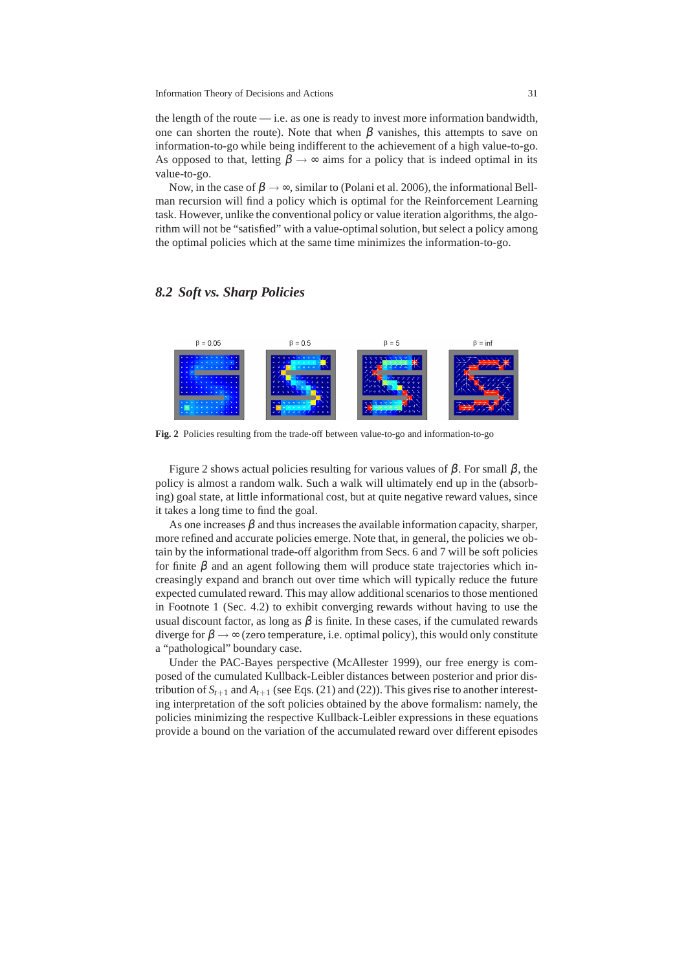the length of the route  $-$  i.e. as one is ready to invest more information bandwidth, one can shorten the route). Note that when  $\beta$  vanishes, this attempts to save on information-to-go while being indifferent to the achievement of a high value-to-go. As opposed to that, letting  $\beta \rightarrow \infty$  aims for a policy that is indeed optimal in its value-to-go.

Now, in the case of  $\beta \rightarrow \infty$ , similar to (Polani et al. 2006), the informational Bellman recursion will find a policy which is optimal for the Reinforcement Learning task. However, unlike the conventional policy or value iteration algorithms, the algorithm will not be "satisfied" with a value-optimal solution, but select a policy among the optimal policies which at the same time minimizes the information-to-go.

## *8.2 Soft vs. Sharp Policies*



**Fig. 2** Policies resulting from the trade-off between value-to-go and information-to-go

Figure 2 shows actual policies resulting for various values of  $\beta$ . For small  $\beta$ , the policy is almost a random walk. Such a walk will ultimately end up in the (absorbing) goal state, at little informational cost, but at quite negative reward values, since it takes a long time to find the goal.

As one increases  $\beta$  and thus increases the available information capacity, sharper, more refined and accurate policies emerge. Note that, in general, the policies we obtain by the informational trade-off algorithm from Secs. 6 and 7 will be soft policies for finite  $\beta$  and an agent following them will produce state trajectories which increasingly expand and branch out over time which will typically reduce the future expected cumulated reward. This may allow additional scenarios to those mentioned in Footnote 1 (Sec. 4.2) to exhibit converging rewards without having to use the usual discount factor, as long as  $\beta$  is finite. In these cases, if the cumulated rewards diverge for  $\beta \rightarrow \infty$  (zero temperature, i.e. optimal policy), this would only constitute a "pathological" boundary case.

Under the PAC-Bayes perspective (McAllester 1999), our free energy is composed of the cumulated Kullback-Leibler distances between posterior and prior distribution of  $S_{t+1}$  and  $A_{t+1}$  (see Eqs. (21) and (22)). This gives rise to another interesting interpretation of the soft policies obtained by the above formalism: namely, the policies minimizing the respective Kullback-Leibler expressions in these equations provide a bound on the variation of the accumulated reward over different episodes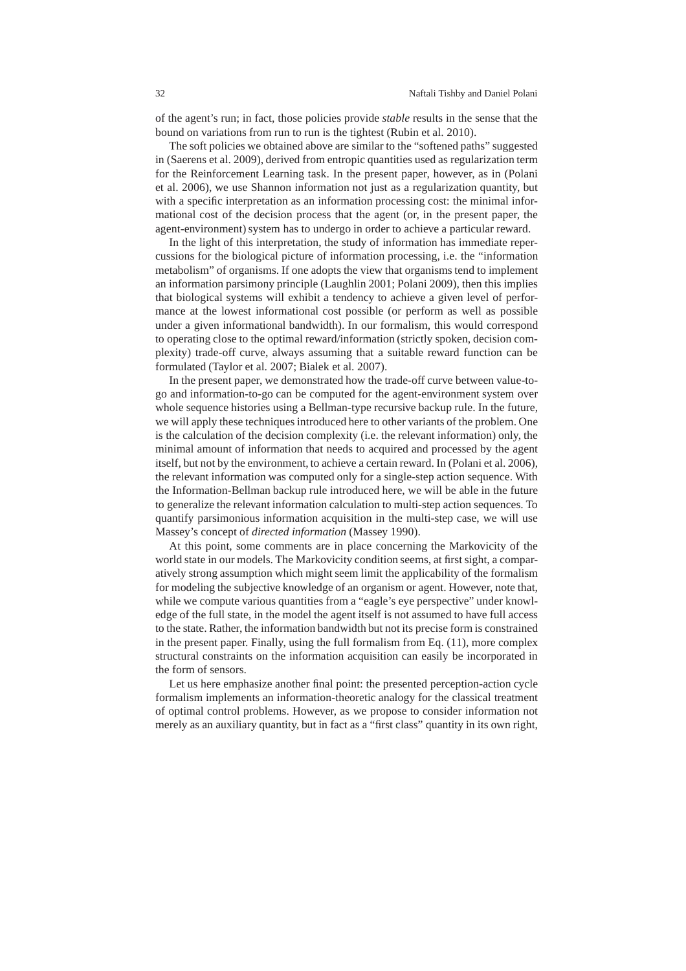of the agent's run; in fact, those policies provide *stable* results in the sense that the bound on variations from run to run is the tightest (Rubin et al. 2010).

The soft policies we obtained above are similar to the "softened paths" suggested in (Saerens et al. 2009), derived from entropic quantities used as regularization term for the Reinforcement Learning task. In the present paper, however, as in (Polani et al. 2006), we use Shannon information not just as a regularization quantity, but with a specific interpretation as an information processing cost: the minimal informational cost of the decision process that the agent (or, in the present paper, the agent-environment) system has to undergo in order to achieve a particular reward.

In the light of this interpretation, the study of information has immediate repercussions for the biological picture of information processing, i.e. the "information metabolism" of organisms. If one adopts the view that organisms tend to implement an information parsimony principle (Laughlin 2001; Polani 2009), then this implies that biological systems will exhibit a tendency to achieve a given level of performance at the lowest informational cost possible (or perform as well as possible under a given informational bandwidth). In our formalism, this would correspond to operating close to the optimal reward/information (strictly spoken, decision complexity) trade-off curve, always assuming that a suitable reward function can be formulated (Taylor et al. 2007; Bialek et al. 2007).

In the present paper, we demonstrated how the trade-off curve between value-togo and information-to-go can be computed for the agent-environment system over whole sequence histories using a Bellman-type recursive backup rule. In the future, we will apply these techniques introduced here to other variants of the problem. One is the calculation of the decision complexity (i.e. the relevant information) only, the minimal amount of information that needs to acquired and processed by the agent itself, but not by the environment, to achieve a certain reward. In (Polani et al. 2006), the relevant information was computed only for a single-step action sequence. With the Information-Bellman backup rule introduced here, we will be able in the future to generalize the relevant information calculation to multi-step action sequences. To quantify parsimonious information acquisition in the multi-step case, we will use Massey's concept of *directed information* (Massey 1990).

At this point, some comments are in place concerning the Markovicity of the world state in our models. The Markovicity condition seems, at first sight, a comparatively strong assumption which might seem limit the applicability of the formalism for modeling the subjective knowledge of an organism or agent. However, note that, while we compute various quantities from a "eagle's eye perspective" under knowledge of the full state, in the model the agent itself is not assumed to have full access to the state. Rather, the information bandwidth but not its precise form is constrained in the present paper. Finally, using the full formalism from Eq. (11), more complex structural constraints on the information acquisition can easily be incorporated in the form of sensors.

Let us here emphasize another final point: the presented perception-action cycle formalism implements an information-theoretic analogy for the classical treatment of optimal control problems. However, as we propose to consider information not merely as an auxiliary quantity, but in fact as a "first class" quantity in its own right,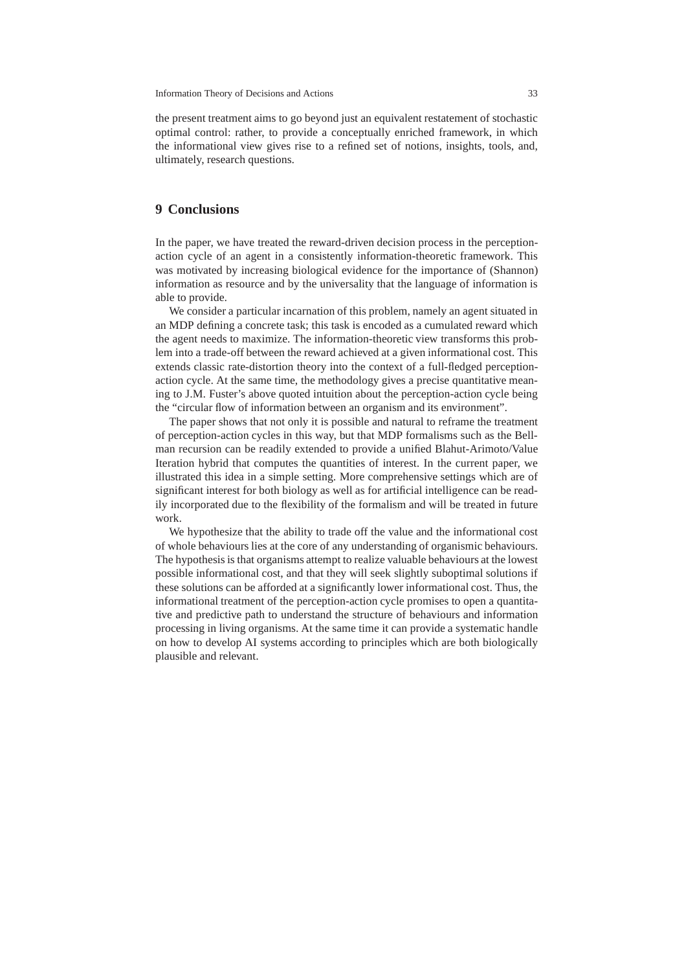the present treatment aims to go beyond just an equivalent restatement of stochastic optimal control: rather, to provide a conceptually enriched framework, in which the informational view gives rise to a refined set of notions, insights, tools, and, ultimately, research questions.

## **9 Conclusions**

In the paper, we have treated the reward-driven decision process in the perceptionaction cycle of an agent in a consistently information-theoretic framework. This was motivated by increasing biological evidence for the importance of (Shannon) information as resource and by the universality that the language of information is able to provide.

We consider a particular incarnation of this problem, namely an agent situated in an MDP defining a concrete task; this task is encoded as a cumulated reward which the agent needs to maximize. The information-theoretic view transforms this problem into a trade-off between the reward achieved at a given informational cost. This extends classic rate-distortion theory into the context of a full-fledged perceptionaction cycle. At the same time, the methodology gives a precise quantitative meaning to J.M. Fuster's above quoted intuition about the perception-action cycle being the "circular flow of information between an organism and its environment".

The paper shows that not only it is possible and natural to reframe the treatment of perception-action cycles in this way, but that MDP formalisms such as the Bellman recursion can be readily extended to provide a unified Blahut-Arimoto/Value Iteration hybrid that computes the quantities of interest. In the current paper, we illustrated this idea in a simple setting. More comprehensive settings which are of significant interest for both biology as well as for artificial intelligence can be readily incorporated due to the flexibility of the formalism and will be treated in future work.

We hypothesize that the ability to trade off the value and the informational cost of whole behaviours lies at the core of any understanding of organismic behaviours. The hypothesis is that organisms attempt to realize valuable behaviours at the lowest possible informational cost, and that they will seek slightly suboptimal solutions if these solutions can be afforded at a significantly lower informational cost. Thus, the informational treatment of the perception-action cycle promises to open a quantitative and predictive path to understand the structure of behaviours and information processing in living organisms. At the same time it can provide a systematic handle on how to develop AI systems according to principles which are both biologically plausible and relevant.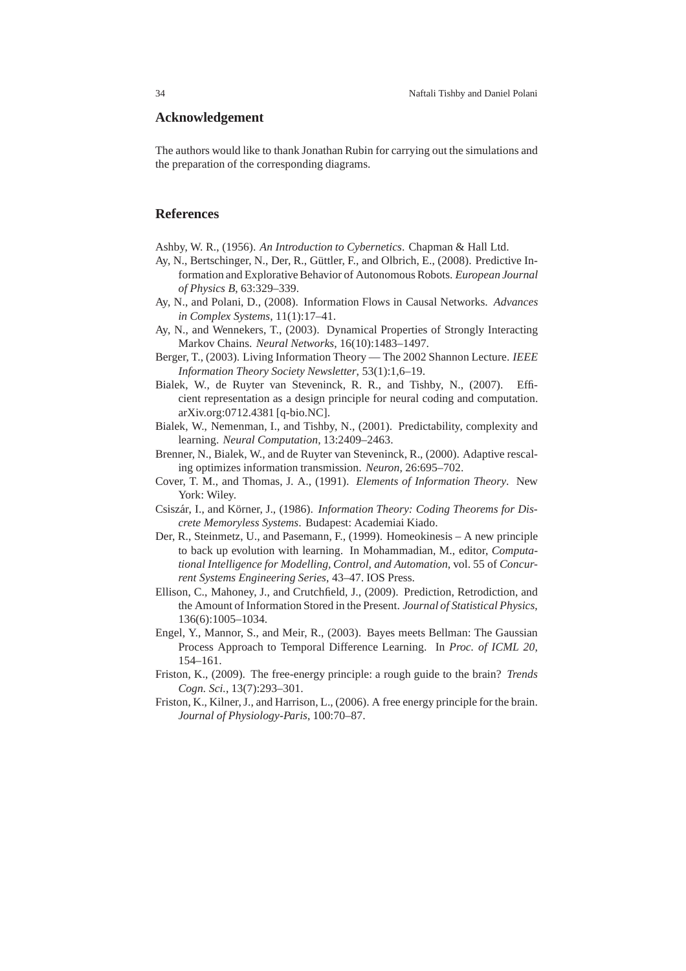## **Acknowledgement**

The authors would like to thank Jonathan Rubin for carrying out the simulations and the preparation of the corresponding diagrams.

## **References**

Ashby, W. R., (1956). *An Introduction to Cybernetics*. Chapman & Hall Ltd.

- Ay, N., Bertschinger, N., Der, R., Güttler, F., and Olbrich, E., (2008). Predictive Information and Explorative Behavior of Autonomous Robots. *European Journal of Physics B*, 63:329–339.
- Ay, N., and Polani, D., (2008). Information Flows in Causal Networks. *Advances in Complex Systems*, 11(1):17–41.
- Ay, N., and Wennekers, T., (2003). Dynamical Properties of Strongly Interacting Markov Chains. *Neural Networks*, 16(10):1483–1497.
- Berger, T., (2003). Living Information Theory The 2002 Shannon Lecture. *IEEE Information Theory Society Newsletter*, 53(1):1,6–19.
- Bialek, W., de Ruyter van Steveninck, R. R., and Tishby, N., (2007). Efficient representation as a design principle for neural coding and computation. arXiv.org:0712.4381 [q-bio.NC].
- Bialek, W., Nemenman, I., and Tishby, N., (2001). Predictability, complexity and learning. *Neural Computation*, 13:2409–2463.
- Brenner, N., Bialek, W., and de Ruyter van Steveninck, R., (2000). Adaptive rescaling optimizes information transmission. *Neuron*, 26:695–702.
- Cover, T. M., and Thomas, J. A., (1991). *Elements of Information Theory*. New York: Wiley.
- Csiszár, I., and Körner, J., (1986). *Information Theory: Coding Theorems for Discrete Memoryless Systems*. Budapest: Academiai Kiado.
- Der, R., Steinmetz, U., and Pasemann, F., (1999). Homeokinesis A new principle to back up evolution with learning. In Mohammadian, M., editor, *Computational Intelligence for Modelling, Control, and Automation*, vol. 55 of *Concurrent Systems Engineering Series*, 43–47. IOS Press.
- Ellison, C., Mahoney, J., and Crutchfield, J., (2009). Prediction, Retrodiction, and the Amount of Information Stored in the Present. *Journal of Statistical Physics*, 136(6):1005–1034.
- Engel, Y., Mannor, S., and Meir, R., (2003). Bayes meets Bellman: The Gaussian Process Approach to Temporal Difference Learning. In *Proc. of ICML 20*, 154–161.
- Friston, K., (2009). The free-energy principle: a rough guide to the brain? *Trends Cogn. Sci.*, 13(7):293–301.
- Friston, K., Kilner, J., and Harrison, L., (2006). A free energy principle for the brain. *Journal of Physiology-Paris*, 100:70–87.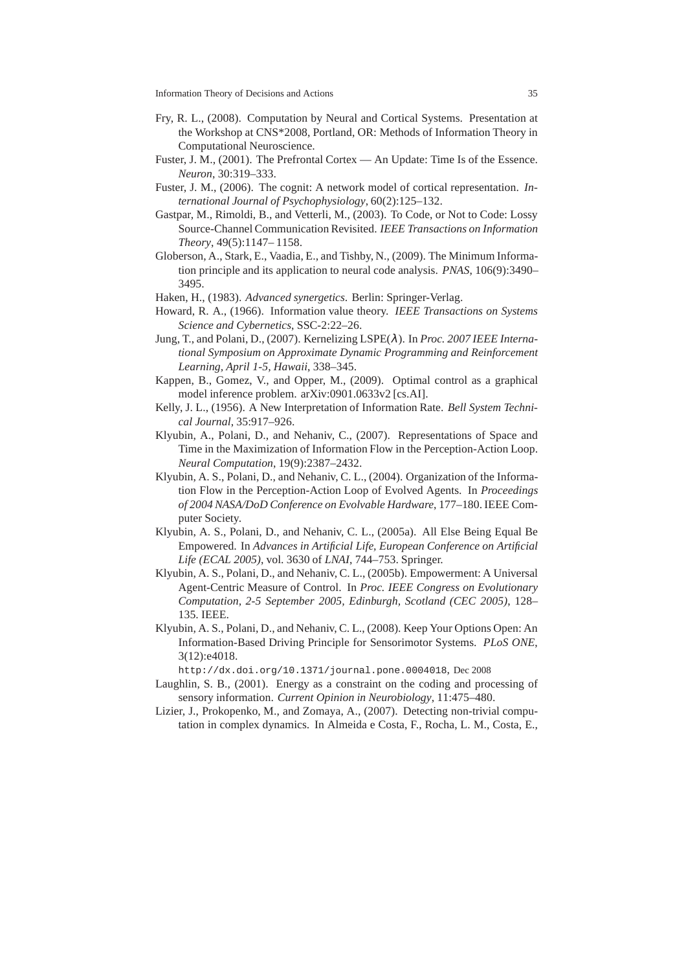- Fry, R. L., (2008). Computation by Neural and Cortical Systems. Presentation at the Workshop at CNS\*2008, Portland, OR: Methods of Information Theory in Computational Neuroscience.
- Fuster, J. M., (2001). The Prefrontal Cortex An Update: Time Is of the Essence. *Neuron*, 30:319–333.
- Fuster, J. M., (2006). The cognit: A network model of cortical representation. *International Journal of Psychophysiology*, 60(2):125–132.
- Gastpar, M., Rimoldi, B., and Vetterli, M., (2003). To Code, or Not to Code: Lossy Source-Channel Communication Revisited. *IEEE Transactions on Information Theory*, 49(5):1147– 1158.
- Globerson, A., Stark, E., Vaadia, E., and Tishby, N., (2009). The Minimum Information principle and its application to neural code analysis. *PNAS*, 106(9):3490– 3495.
- Haken, H., (1983). *Advanced synergetics*. Berlin: Springer-Verlag.
- Howard, R. A., (1966). Information value theory. *IEEE Transactions on Systems Science and Cybernetics*, SSC-2:22–26.
- Jung, T., and Polani, D., (2007). Kernelizing LSPE(λ). In *Proc. 2007 IEEE International Symposium on Approximate Dynamic Programming and Reinforcement Learning, April 1-5, Hawaii*, 338–345.
- Kappen, B., Gomez, V., and Opper, M., (2009). Optimal control as a graphical model inference problem. arXiv:0901.0633v2 [cs.AI].
- Kelly, J. L., (1956). A New Interpretation of Information Rate. *Bell System Technical Journal*, 35:917–926.
- Klyubin, A., Polani, D., and Nehaniv, C., (2007). Representations of Space and Time in the Maximization of Information Flow in the Perception-Action Loop. *Neural Computation*, 19(9):2387–2432.
- Klyubin, A. S., Polani, D., and Nehaniv, C. L., (2004). Organization of the Information Flow in the Perception-Action Loop of Evolved Agents. In *Proceedings of 2004 NASA/DoD Conference on Evolvable Hardware*, 177–180. IEEE Computer Society.
- Klyubin, A. S., Polani, D., and Nehaniv, C. L., (2005a). All Else Being Equal Be Empowered. In *Advances in Artificial Life, European Conference on Artificial Life (ECAL 2005)*, vol. 3630 of *LNAI*, 744–753. Springer.
- Klyubin, A. S., Polani, D., and Nehaniv, C. L., (2005b). Empowerment: A Universal Agent-Centric Measure of Control. In *Proc. IEEE Congress on Evolutionary Computation, 2-5 September 2005, Edinburgh, Scotland (CEC 2005)*, 128– 135. IEEE.
- Klyubin, A. S., Polani, D., and Nehaniv, C. L., (2008). Keep Your Options Open: An Information-Based Driving Principle for Sensorimotor Systems. *PLoS ONE*, 3(12):e4018.

http://dx.doi.org/10.1371/journal.pone.0004018, Dec 2008

- Laughlin, S. B., (2001). Energy as a constraint on the coding and processing of sensory information. *Current Opinion in Neurobiology*, 11:475–480.
- Lizier, J., Prokopenko, M., and Zomaya, A., (2007). Detecting non-trivial computation in complex dynamics. In Almeida e Costa, F., Rocha, L. M., Costa, E.,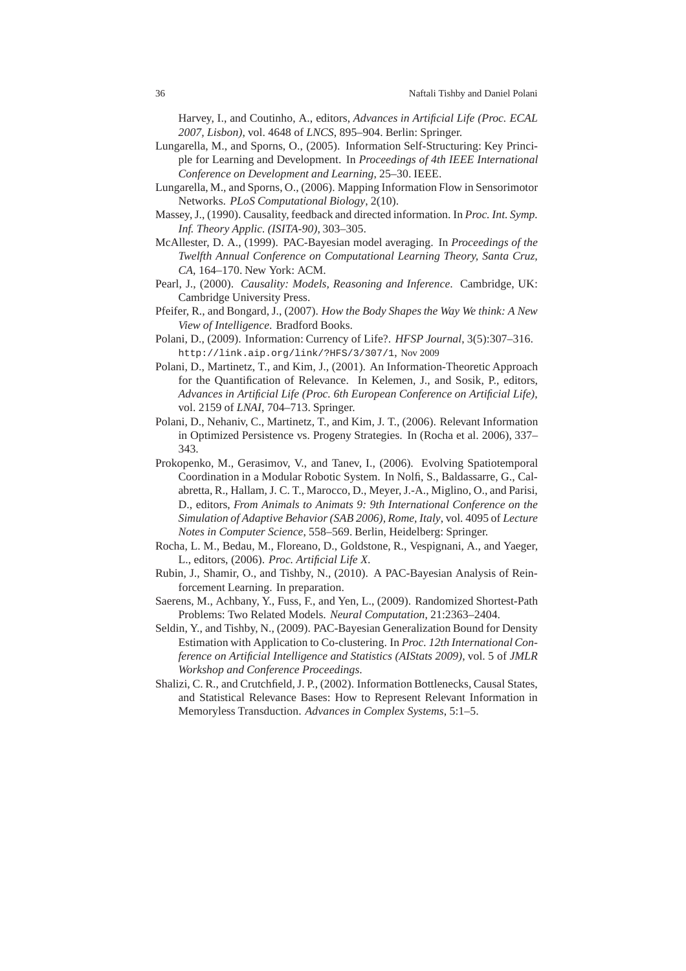Harvey, I., and Coutinho, A., editors, *Advances in Artificial Life (Proc. ECAL 2007, Lisbon)*, vol. 4648 of *LNCS*, 895–904. Berlin: Springer.

- Lungarella, M., and Sporns, O., (2005). Information Self-Structuring: Key Principle for Learning and Development. In *Proceedings of 4th IEEE International Conference on Development and Learning*, 25–30. IEEE.
- Lungarella, M., and Sporns, O., (2006). Mapping Information Flow in Sensorimotor Networks. *PLoS Computational Biology*, 2(10).
- Massey, J., (1990). Causality, feedback and directed information. In *Proc. Int. Symp. Inf. Theory Applic. (ISITA-90)*, 303–305.
- McAllester, D. A., (1999). PAC-Bayesian model averaging. In *Proceedings of the Twelfth Annual Conference on Computational Learning Theory, Santa Cruz, CA*, 164–170. New York: ACM.
- Pearl, J., (2000). *Causality: Models, Reasoning and Inference*. Cambridge, UK: Cambridge University Press.
- Pfeifer, R., and Bongard, J., (2007). *How the Body Shapes the Way We think: A New View of Intelligence*. Bradford Books.
- Polani, D., (2009). Information: Currency of Life?. *HFSP Journal*, 3(5):307–316. http://link.aip.org/link/?HFS/3/307/1, Nov 2009
- Polani, D., Martinetz, T., and Kim, J., (2001). An Information-Theoretic Approach for the Quantification of Relevance. In Kelemen, J., and Sosik, P., editors, *Advances in Artificial Life (Proc. 6th European Conference on Artificial Life)*, vol. 2159 of *LNAI*, 704–713. Springer.
- Polani, D., Nehaniv, C., Martinetz, T., and Kim, J. T., (2006). Relevant Information in Optimized Persistence vs. Progeny Strategies. In (Rocha et al. 2006), 337– 343.
- Prokopenko, M., Gerasimov, V., and Tanev, I., (2006). Evolving Spatiotemporal Coordination in a Modular Robotic System. In Nolfi, S., Baldassarre, G., Calabretta, R., Hallam, J. C. T., Marocco, D., Meyer, J.-A., Miglino, O., and Parisi, D., editors, *From Animals to Animats 9: 9th International Conference on the Simulation of Adaptive Behavior (SAB 2006), Rome, Italy*, vol. 4095 of *Lecture Notes in Computer Science*, 558–569. Berlin, Heidelberg: Springer.
- Rocha, L. M., Bedau, M., Floreano, D., Goldstone, R., Vespignani, A., and Yaeger, L., editors, (2006). *Proc. Artificial Life X*.
- Rubin, J., Shamir, O., and Tishby, N., (2010). A PAC-Bayesian Analysis of Reinforcement Learning. In preparation.
- Saerens, M., Achbany, Y., Fuss, F., and Yen, L., (2009). Randomized Shortest-Path Problems: Two Related Models. *Neural Computation*, 21:2363–2404.
- Seldin, Y., and Tishby, N., (2009). PAC-Bayesian Generalization Bound for Density Estimation with Application to Co-clustering. In *Proc. 12th International Conference on Artificial Intelligence and Statistics (AIStats 2009)*, vol. 5 of *JMLR Workshop and Conference Proceedings*.
- Shalizi, C. R., and Crutchfield, J. P., (2002). Information Bottlenecks, Causal States, and Statistical Relevance Bases: How to Represent Relevant Information in Memoryless Transduction. *Advances in Complex Systems*, 5:1–5.